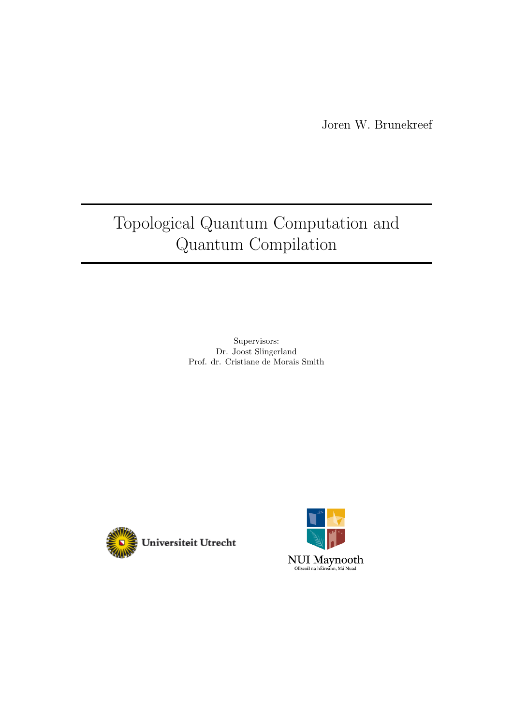Joren W. Brunekreef

# Topological Quantum Computation and Quantum Compilation

Supervisors: Dr. Joost Slingerland Prof. dr. Cristiane de Morais Smith



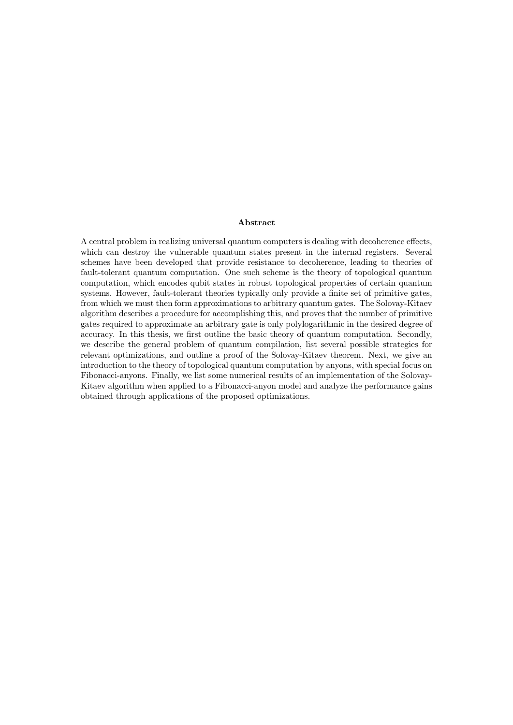#### Abstract

A central problem in realizing universal quantum computers is dealing with decoherence effects, which can destroy the vulnerable quantum states present in the internal registers. Several schemes have been developed that provide resistance to decoherence, leading to theories of fault-tolerant quantum computation. One such scheme is the theory of topological quantum computation, which encodes qubit states in robust topological properties of certain quantum systems. However, fault-tolerant theories typically only provide a finite set of primitive gates, from which we must then form approximations to arbitrary quantum gates. The Solovay-Kitaev algorithm describes a procedure for accomplishing this, and proves that the number of primitive gates required to approximate an arbitrary gate is only polylogarithmic in the desired degree of accuracy. In this thesis, we first outline the basic theory of quantum computation. Secondly, we describe the general problem of quantum compilation, list several possible strategies for relevant optimizations, and outline a proof of the Solovay-Kitaev theorem. Next, we give an introduction to the theory of topological quantum computation by anyons, with special focus on Fibonacci-anyons. Finally, we list some numerical results of an implementation of the Solovay-Kitaev algorithm when applied to a Fibonacci-anyon model and analyze the performance gains obtained through applications of the proposed optimizations.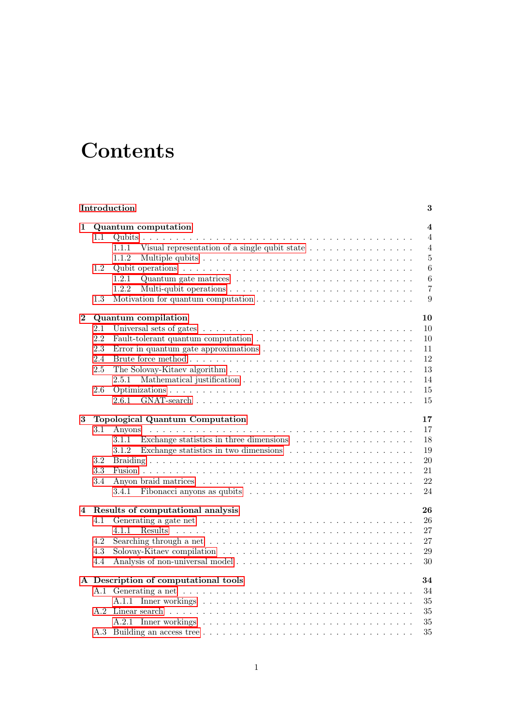# **Contents**

|          |     | Introduction                                                                                        | 3                       |
|----------|-----|-----------------------------------------------------------------------------------------------------|-------------------------|
| 1        |     | Quantum computation                                                                                 | $\overline{\mathbf{4}}$ |
|          | 1.1 |                                                                                                     | $\overline{4}$          |
|          |     | Visual representation of a single qubit state $\ldots \ldots \ldots \ldots \ldots \ldots$<br>1.1.1  | $\overline{4}$          |
|          |     | 1.1.2                                                                                               | $\overline{5}$          |
|          | 1.2 |                                                                                                     | 6                       |
|          |     | 1.2.1                                                                                               | $\,6$                   |
|          |     | 1.2.2                                                                                               | $\overline{7}$          |
|          | 1.3 |                                                                                                     | 9                       |
| $\bf{2}$ |     | Quantum compilation                                                                                 | 10                      |
|          | 2.1 |                                                                                                     | 10                      |
|          | 2.2 | Fault-tolerant quantum computation $\ldots \ldots \ldots \ldots \ldots \ldots \ldots \ldots \ldots$ | 10                      |
|          | 2.3 | Error in quantum gate approximations $\ldots \ldots \ldots \ldots \ldots \ldots \ldots \ldots$      | 11                      |
|          | 2.4 |                                                                                                     | 12                      |
|          | 2.5 |                                                                                                     | 13                      |
|          |     | 2.5.1                                                                                               | 14                      |
|          | 2.6 |                                                                                                     | 15                      |
|          |     | 2.6.1                                                                                               | 15                      |
| 3        |     | Topological Quantum Computation                                                                     | 17                      |
|          | 3.1 |                                                                                                     | 17                      |
|          |     | 3.1.1                                                                                               | 18                      |
|          |     | 3.1.2<br>Exchange statistics in two dimensions $\ldots \ldots \ldots \ldots \ldots \ldots$          | 19                      |
|          | 3.2 |                                                                                                     | 20                      |
|          | 3.3 |                                                                                                     | 21                      |
|          | 3.4 |                                                                                                     | 22                      |
|          |     | 3.4.1                                                                                               | 24                      |
|          |     |                                                                                                     |                         |
| 4        |     | Results of computational analysis                                                                   | 26                      |
|          | 4.1 |                                                                                                     | 26                      |
|          |     | 4.1.1                                                                                               | 27                      |
|          | 4.2 |                                                                                                     | 27                      |
|          | 4.3 |                                                                                                     | 29                      |
|          | 4.4 |                                                                                                     | 30                      |
|          |     | A Description of computational tools                                                                | 34                      |
|          |     |                                                                                                     | 34                      |
|          |     |                                                                                                     | 35                      |
|          |     |                                                                                                     | 35                      |
|          |     |                                                                                                     | 35                      |
|          |     |                                                                                                     | 35                      |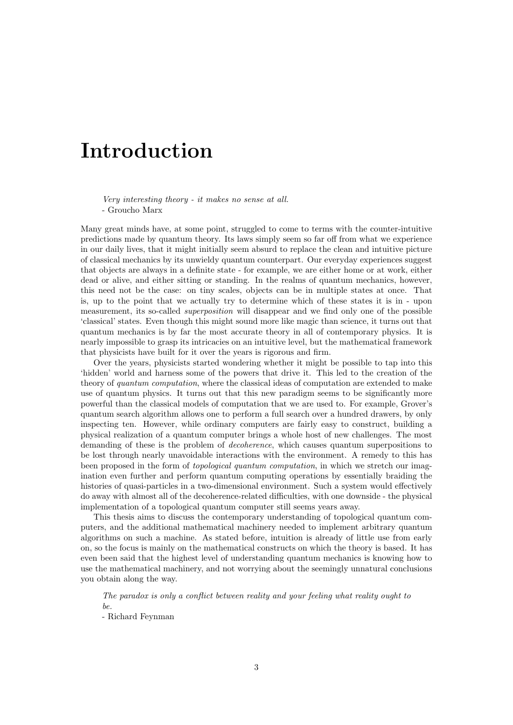# Introduction

<span id="page-4-0"></span>Very interesting theory - it makes no sense at all. - Groucho Marx

Many great minds have, at some point, struggled to come to terms with the counter-intuitive predictions made by quantum theory. Its laws simply seem so far off from what we experience in our daily lives, that it might initially seem absurd to replace the clean and intuitive picture of classical mechanics by its unwieldy quantum counterpart. Our everyday experiences suggest that objects are always in a definite state - for example, we are either home or at work, either dead or alive, and either sitting or standing. In the realms of quantum mechanics, however, this need not be the case: on tiny scales, objects can be in multiple states at once. That is, up to the point that we actually try to determine which of these states it is in - upon measurement, its so-called superposition will disappear and we find only one of the possible 'classical' states. Even though this might sound more like magic than science, it turns out that quantum mechanics is by far the most accurate theory in all of contemporary physics. It is nearly impossible to grasp its intricacies on an intuitive level, but the mathematical framework that physicists have built for it over the years is rigorous and firm.

Over the years, physicists started wondering whether it might be possible to tap into this 'hidden' world and harness some of the powers that drive it. This led to the creation of the theory of quantum computation, where the classical ideas of computation are extended to make use of quantum physics. It turns out that this new paradigm seems to be significantly more powerful than the classical models of computation that we are used to. For example, Grover's quantum search algorithm allows one to perform a full search over a hundred drawers, by only inspecting ten. However, while ordinary computers are fairly easy to construct, building a physical realization of a quantum computer brings a whole host of new challenges. The most demanding of these is the problem of decoherence, which causes quantum superpositions to be lost through nearly unavoidable interactions with the environment. A remedy to this has been proposed in the form of topological quantum computation, in which we stretch our imagination even further and perform quantum computing operations by essentially braiding the histories of quasi-particles in a two-dimensional environment. Such a system would effectively do away with almost all of the decoherence-related difficulties, with one downside - the physical implementation of a topological quantum computer still seems years away.

This thesis aims to discuss the contemporary understanding of topological quantum computers, and the additional mathematical machinery needed to implement arbitrary quantum algorithms on such a machine. As stated before, intuition is already of little use from early on, so the focus is mainly on the mathematical constructs on which the theory is based. It has even been said that the highest level of understanding quantum mechanics is knowing how to use the mathematical machinery, and not worrying about the seemingly unnatural conclusions you obtain along the way.

The paradox is only a conflict between reality and your feeling what reality ought to be.

- Richard Feynman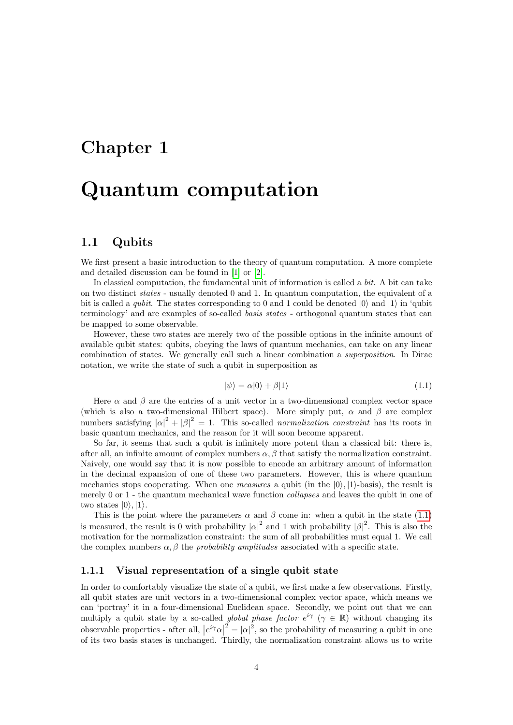# <span id="page-5-0"></span>Chapter 1

# Quantum computation

## <span id="page-5-1"></span>1.1 Qubits

We first present a basic introduction to the theory of quantum computation. A more complete and detailed discussion can be found in [\[1\]](#page-40-0) or [\[2\]](#page-40-1).

In classical computation, the fundamental unit of information is called a *bit*. A bit can take on two distinct states - usually denoted 0 and 1. In quantum computation, the equivalent of a bit is called a *qubit*. The states corresponding to 0 and 1 could be denoted  $|0\rangle$  and  $|1\rangle$  in 'qubit terminology' and are examples of so-called basis states - orthogonal quantum states that can be mapped to some observable.

However, these two states are merely two of the possible options in the infinite amount of available qubit states: qubits, obeying the laws of quantum mechanics, can take on any linear combination of states. We generally call such a linear combination a superposition. In Dirac notation, we write the state of such a qubit in superposition as

<span id="page-5-3"></span>
$$
|\psi\rangle = \alpha|0\rangle + \beta|1\rangle \tag{1.1}
$$

Here  $\alpha$  and  $\beta$  are the entries of a unit vector in a two-dimensional complex vector space (which is also a two-dimensional Hilbert space). More simply put,  $\alpha$  and  $\beta$  are complex numbers satisfying  $|\alpha|^2 + |\beta|^2 = 1$ . This so-called normalization constraint has its roots in basic quantum mechanics, and the reason for it will soon become apparent.

So far, it seems that such a qubit is infinitely more potent than a classical bit: there is, after all, an infinite amount of complex numbers  $\alpha$ ,  $\beta$  that satisfy the normalization constraint. Naively, one would say that it is now possible to encode an arbitrary amount of information in the decimal expansion of one of these two parameters. However, this is where quantum mechanics stops cooperating. When one *measures* a qubit (in the  $|0\rangle, |1\rangle$ -basis), the result is merely 0 or 1 - the quantum mechanical wave function collapses and leaves the qubit in one of two states  $|0\rangle, |1\rangle$ .

This is the point where the parameters  $\alpha$  and  $\beta$  come in: when a qubit in the state [\(1.1\)](#page-5-3) is measured, the result is 0 with probability  $|\alpha|^2$  and 1 with probability  $|\beta|^2$ . This is also the motivation for the normalization constraint: the sum of all probabilities must equal 1. We call the complex numbers  $\alpha, \beta$  the probability amplitudes associated with a specific state.

#### <span id="page-5-2"></span>1.1.1 Visual representation of a single qubit state

In order to comfortably visualize the state of a qubit, we first make a few observations. Firstly, all qubit states are unit vectors in a two-dimensional complex vector space, which means we can 'portray' it in a four-dimensional Euclidean space. Secondly, we point out that we can multiply a qubit state by a so-called *global phase factor*  $e^{i\gamma}$  ( $\gamma \in \mathbb{R}$ ) without changing its observable properties - after all,  $|e^{i\gamma}\alpha|$  $2^2 = |\alpha|^2$ , so the probability of measuring a qubit in one of its two basis states is unchanged. Thirdly, the normalization constraint allows us to write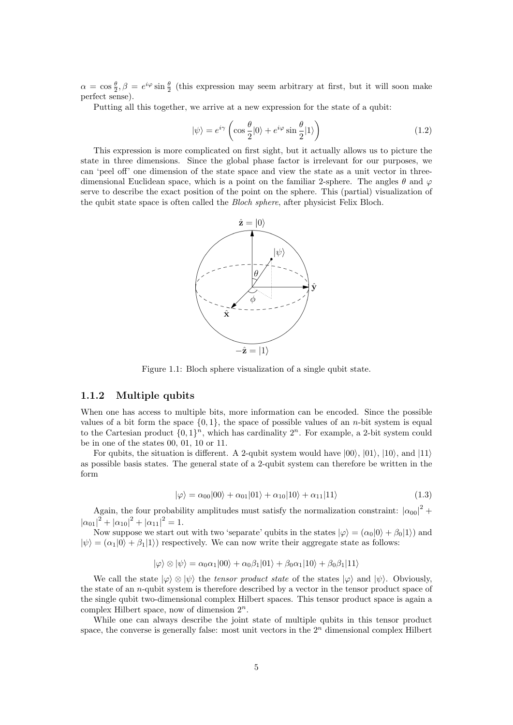$\alpha = \cos \frac{\theta}{2}, \beta = e^{i\varphi} \sin \frac{\theta}{2}$  (this expression may seem arbitrary at first, but it will soon make perfect sense).

Putting all this together, we arrive at a new expression for the state of a qubit:

$$
|\psi\rangle = e^{i\gamma} \left( \cos \frac{\theta}{2} |0\rangle + e^{i\varphi} \sin \frac{\theta}{2} |1\rangle \right)
$$
 (1.2)

This expression is more complicated on first sight, but it actually allows us to picture the state in three dimensions. Since the global phase factor is irrelevant for our purposes, we can 'peel off' one dimension of the state space and view the state as a unit vector in threedimensional Euclidean space, which is a point on the familiar 2-sphere. The angles  $\theta$  and  $\varphi$ serve to describe the exact position of the point on the sphere. This (partial) visualization of the qubit state space is often called the Bloch sphere, after physicist Felix Bloch.



Figure 1.1: Bloch sphere visualization of a single qubit state.

#### <span id="page-6-0"></span>1.1.2 Multiple qubits

When one has access to multiple bits, more information can be encoded. Since the possible values of a bit form the space  $\{0, 1\}$ , the space of possible values of an *n*-bit system is equal to the Cartesian product  $\{0,1\}^n$ , which has cardinality  $2^n$ . For example, a 2-bit system could be in one of the states 00, 01, 10 or 11.

For qubits, the situation is different. A 2-qubit system would have  $|00\rangle, |01\rangle, |10\rangle,$  and  $|11\rangle$ as possible basis states. The general state of a 2-qubit system can therefore be written in the form

$$
|\varphi\rangle = \alpha_{00}|00\rangle + \alpha_{01}|01\rangle + \alpha_{10}|10\rangle + \alpha_{11}|11\rangle \tag{1.3}
$$

Again, the four probability amplitudes must satisfy the normalization constraint:  $|\alpha_{00}|^2$  +  $|\alpha_{01}|^2 + |\alpha_{10}|^2 + |\alpha_{11}|^2 = 1.$ 

Now suppose we start out with two 'separate' qubits in the states  $|\varphi\rangle = (\alpha_0|0\rangle + \beta_0|1\rangle)$  and  $|\psi\rangle = (\alpha_1|0\rangle + \beta_1|1\rangle)$  respectively. We can now write their aggregate state as follows:

$$
|\varphi\rangle \otimes |\psi\rangle = \alpha_0 \alpha_1 |00\rangle + \alpha_0 \beta_1 |01\rangle + \beta_0 \alpha_1 |10\rangle + \beta_0 \beta_1 |11\rangle
$$

We call the state  $|\varphi\rangle \otimes |\psi\rangle$  the tensor product state of the states  $|\varphi\rangle$  and  $|\psi\rangle$ . Obviously, the state of an n-qubit system is therefore described by a vector in the tensor product space of the single qubit two-dimensional complex Hilbert spaces. This tensor product space is again a complex Hilbert space, now of dimension  $2^n$ .

While one can always describe the joint state of multiple qubits in this tensor product space, the converse is generally false: most unit vectors in the  $2<sup>n</sup>$  dimensional complex Hilbert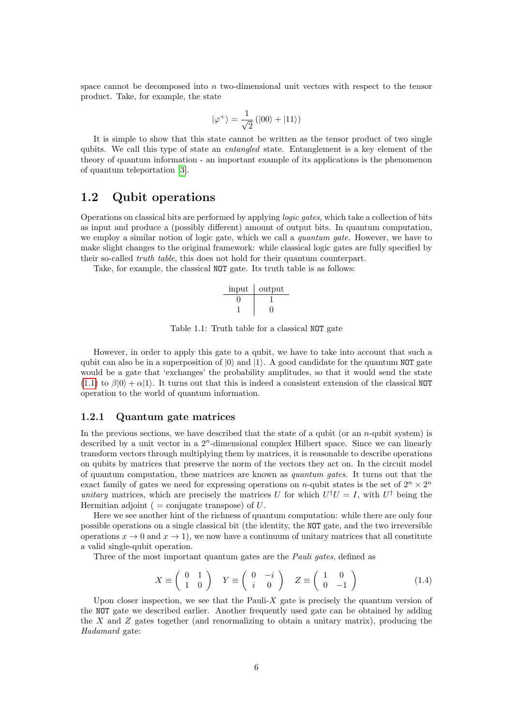space cannot be decomposed into n two-dimensional unit vectors with respect to the tensor product. Take, for example, the state

$$
|\varphi^+\rangle=\frac{1}{\sqrt{2}}\left(|00\rangle+|11\rangle\right)
$$

It is simple to show that this state cannot be written as the tensor product of two single qubits. We call this type of state an *entangled* state. Entanglement is a key element of the theory of quantum information - an important example of its applications is the phenomenon of quantum teleportation [\[3\]](#page-40-2).

#### <span id="page-7-0"></span>1.2 Qubit operations

Operations on classical bits are performed by applying logic gates, which take a collection of bits as input and produce a (possibly different) amount of output bits. In quantum computation, we employ a similar notion of logic gate, which we call a *quantum gate*. However, we have to make slight changes to the original framework: while classical logic gates are fully specified by their so-called truth table, this does not hold for their quantum counterpart.

Take, for example, the classical NOT gate. Its truth table is as follows:

$$
\begin{array}{c|c}\n\text{input} & \text{output} \\
\hline\n0 & 1 \\
1 & 0\n\end{array}
$$

Table 1.1: Truth table for a classical NOT gate

However, in order to apply this gate to a qubit, we have to take into account that such a qubit can also be in a superposition of  $|0\rangle$  and  $|1\rangle$ . A good candidate for the quantum NOT gate would be a gate that 'exchanges' the probability amplitudes, so that it would send the state [\(1.1\)](#page-5-3) to  $\beta|0\rangle + \alpha|1\rangle$ . It turns out that this is indeed a consistent extension of the classical NOT operation to the world of quantum information.

#### <span id="page-7-1"></span>1.2.1 Quantum gate matrices

In the previous sections, we have described that the state of a qubit (or an n-qubit system) is described by a unit vector in a  $2<sup>n</sup>$ -dimensional complex Hilbert space. Since we can linearly transform vectors through multiplying them by matrices, it is reasonable to describe operations on qubits by matrices that preserve the norm of the vectors they act on. In the circuit model of quantum computation, these matrices are known as quantum gates. It turns out that the exact family of gates we need for expressing operations on *n*-qubit states is the set of  $2^n \times 2^n$ unitary matrices, which are precisely the matrices U for which  $U^{\dagger}U = I$ , with  $U^{\dagger}$  being the Hermitian adjoint ( $=$  conjugate transpose) of U.

Here we see another hint of the richness of quantum computation: while there are only four possible operations on a single classical bit (the identity, the NOT gate, and the two irreversible operations  $x \to 0$  and  $x \to 1$ ), we now have a continuum of unitary matrices that all constitute a valid single-qubit operation.

Three of the most important quantum gates are the *Pauli gates*, defined as

$$
X \equiv \left( \begin{array}{cc} 0 & 1 \\ 1 & 0 \end{array} \right) \quad Y \equiv \left( \begin{array}{cc} 0 & -i \\ i & 0 \end{array} \right) \quad Z \equiv \left( \begin{array}{cc} 1 & 0 \\ 0 & -1 \end{array} \right) \tag{1.4}
$$

Upon closer inspection, we see that the Pauli- $X$  gate is precisely the quantum version of the NOT gate we described earlier. Another frequently used gate can be obtained by adding the X and Z gates together (and renormalizing to obtain a unitary matrix), producing the Hadamard gate: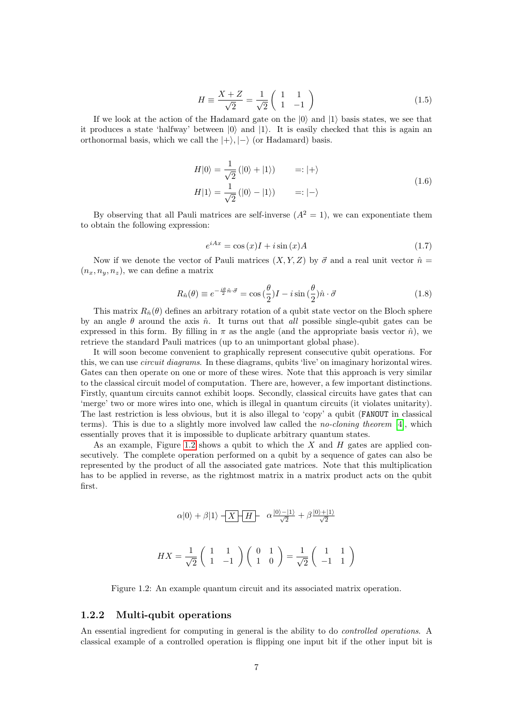$$
H \equiv \frac{X + Z}{\sqrt{2}} = \frac{1}{\sqrt{2}} \begin{pmatrix} 1 & 1 \\ 1 & -1 \end{pmatrix}
$$
 (1.5)

If we look at the action of the Hadamard gate on the  $|0\rangle$  and  $|1\rangle$  basis states, we see that it produces a state 'halfway' between  $|0\rangle$  and  $|1\rangle$ . It is easily checked that this is again an orthonormal basis, which we call the  $|+\rangle, |-\rangle$  (or Hadamard) basis.

$$
H|0\rangle = \frac{1}{\sqrt{2}} (|0\rangle + |1\rangle) = :|+\rangle
$$
  
\n
$$
H|1\rangle = \frac{1}{\sqrt{2}} (|0\rangle - |1\rangle) = :|-\rangle
$$
\n(1.6)

By observing that all Pauli matrices are self-inverse  $(A^2 = 1)$ , we can exponentiate them to obtain the following expression:

$$
e^{iAx} = \cos(x)I + i\sin(x)A\tag{1.7}
$$

Now if we denote the vector of Pauli matrices  $(X, Y, Z)$  by  $\vec{\sigma}$  and a real unit vector  $\hat{n} =$  $(n_x, n_y, n_z)$ , we can define a matrix

<span id="page-8-2"></span>
$$
R_{\hat{n}}(\theta) \equiv e^{-\frac{i\theta}{2}\hat{n}\cdot\vec{\sigma}} = \cos\left(\frac{\theta}{2}\right)I - i\sin\left(\frac{\theta}{2}\right)\hat{n}\cdot\vec{\sigma}
$$
\n(1.8)

This matrix  $R_{\hat{n}}(\theta)$  defines an arbitrary rotation of a qubit state vector on the Bloch sphere by an angle  $\theta$  around the axis  $\hat{n}$ . It turns out that all possible single-qubit gates can be expressed in this form. By filling in  $\pi$  as the angle (and the appropriate basis vector  $\hat{n}$ ), we retrieve the standard Pauli matrices (up to an unimportant global phase).

It will soon become convenient to graphically represent consecutive qubit operations. For this, we can use circuit diagrams. In these diagrams, qubits 'live' on imaginary horizontal wires. Gates can then operate on one or more of these wires. Note that this approach is very similar to the classical circuit model of computation. There are, however, a few important distinctions. Firstly, quantum circuits cannot exhibit loops. Secondly, classical circuits have gates that can 'merge' two or more wires into one, which is illegal in quantum circuits (it violates unitarity). The last restriction is less obvious, but it is also illegal to 'copy' a qubit (FANOUT in classical terms). This is due to a slightly more involved law called the no-cloning theorem [\[4\]](#page-40-3), which essentially proves that it is impossible to duplicate arbitrary quantum states.

<span id="page-8-1"></span>As an example, Figure [1.2](#page-8-1) shows a qubit to which the  $X$  and  $H$  gates are applied consecutively. The complete operation performed on a qubit by a sequence of gates can also be represented by the product of all the associated gate matrices. Note that this multiplication has to be applied in reverse, as the rightmost matrix in a matrix product acts on the qubit first.

$$
\alpha|0\rangle + \beta|1\rangle - \boxed{X} + \boxed{H} - \alpha \frac{|0\rangle - |1\rangle}{\sqrt{2}} + \beta \frac{|0\rangle + |1\rangle}{\sqrt{2}}
$$
  

$$
HX = \frac{1}{\sqrt{2}} \begin{pmatrix} 1 & 1 \\ 1 & -1 \end{pmatrix} \begin{pmatrix} 0 & 1 \\ 1 & 0 \end{pmatrix} = \frac{1}{\sqrt{2}} \begin{pmatrix} 1 & 1 \\ -1 & 1 \end{pmatrix}
$$

Figure 1.2: An example quantum circuit and its associated matrix operation.

#### <span id="page-8-0"></span>1.2.2 Multi-qubit operations

An essential ingredient for computing in general is the ability to do controlled operations. A classical example of a controlled operation is flipping one input bit if the other input bit is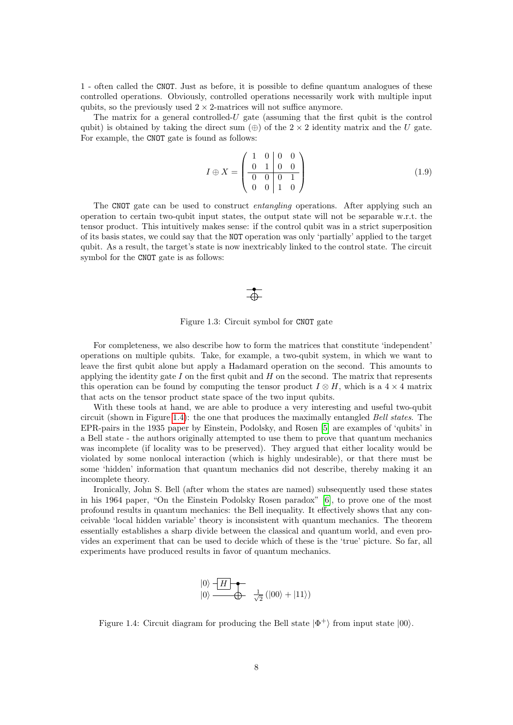1 - often called the CNOT. Just as before, it is possible to define quantum analogues of these controlled operations. Obviously, controlled operations necessarily work with multiple input qubits, so the previously used  $2 \times 2$ -matrices will not suffice anymore.

The matrix for a general controlled- $U$  gate (assuming that the first qubit is the control qubit) is obtained by taking the direct sum (⊕) of the  $2 \times 2$  identity matrix and the U gate. For example, the CNOT gate is found as follows:

$$
I \oplus X = \begin{pmatrix} 1 & 0 & 0 & 0 \\ 0 & 1 & 0 & 0 \\ 0 & 0 & 0 & 1 \\ 0 & 0 & 1 & 0 \end{pmatrix}
$$
 (1.9)

The CNOT gate can be used to construct entangling operations. After applying such an operation to certain two-qubit input states, the output state will not be separable w.r.t. the tensor product. This intuitively makes sense: if the control qubit was in a strict superposition of its basis states, we could say that the NOT operation was only 'partially' applied to the target qubit. As a result, the target's state is now inextricably linked to the control state. The circuit symbol for the CNOT gate is as follows:

# $\Rightarrow$

Figure 1.3: Circuit symbol for CNOT gate

For completeness, we also describe how to form the matrices that constitute 'independent' operations on multiple qubits. Take, for example, a two-qubit system, in which we want to leave the first qubit alone but apply a Hadamard operation on the second. This amounts to applying the identity gate  $I$  on the first qubit and  $H$  on the second. The matrix that represents this operation can be found by computing the tensor product  $I \otimes H$ , which is a 4  $\times$  4 matrix that acts on the tensor product state space of the two input qubits.

With these tools at hand, we are able to produce a very interesting and useful two-qubit circuit (shown in Figure [1.4\)](#page-9-0): the one that produces the maximally entangled Bell states. The EPR-pairs in the 1935 paper by Einstein, Podolsky, and Rosen [\[5\]](#page-40-4) are examples of 'qubits' in a Bell state - the authors originally attempted to use them to prove that quantum mechanics was incomplete (if locality was to be preserved). They argued that either locality would be violated by some nonlocal interaction (which is highly undesirable), or that there must be some 'hidden' information that quantum mechanics did not describe, thereby making it an incomplete theory.

Ironically, John S. Bell (after whom the states are named) subsequently used these states in his 1964 paper, "On the Einstein Podolsky Rosen paradox" [\[6\]](#page-40-5), to prove one of the most profound results in quantum mechanics: the Bell inequality. It effectively shows that any conceivable 'local hidden variable' theory is inconsistent with quantum mechanics. The theorem essentially establishes a sharp divide between the classical and quantum world, and even provides an experiment that can be used to decide which of these is the 'true' picture. So far, all experiments have produced results in favor of quantum mechanics.

$$
|0\rangle \xrightarrow{-\boxed{H}} \longrightarrow
$$
  

$$
|0\rangle \xrightarrow{\phantom{0}} \xrightarrow{\phantom{0}} \xrightarrow{\phantom{0}} |00\rangle + |11\rangle)
$$

<span id="page-9-0"></span>Figure 1.4: Circuit diagram for producing the Bell state  $|\Phi^+\rangle$  from input state  $|00\rangle$ .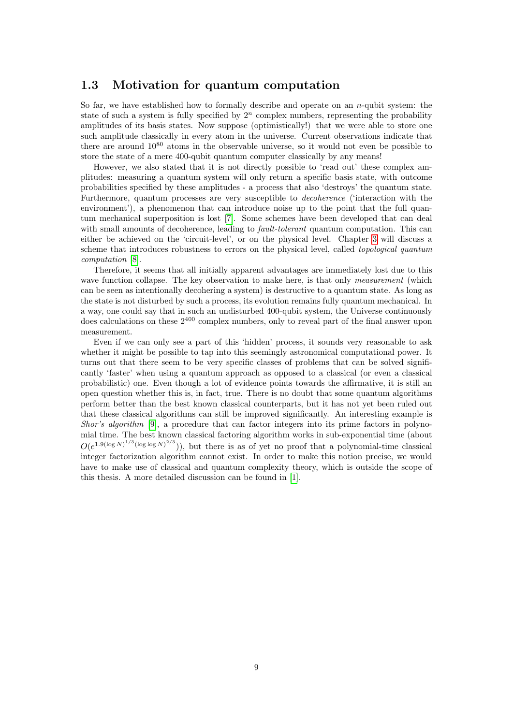### <span id="page-10-0"></span>1.3 Motivation for quantum computation

So far, we have established how to formally describe and operate on an  $n$ -qubit system: the state of such a system is fully specified by  $2^n$  complex numbers, representing the probability amplitudes of its basis states. Now suppose (optimistically!) that we were able to store one such amplitude classically in every atom in the universe. Current observations indicate that there are around  $10^{80}$  atoms in the observable universe, so it would not even be possible to store the state of a mere 400-qubit quantum computer classically by any means!

However, we also stated that it is not directly possible to 'read out' these complex amplitudes: measuring a quantum system will only return a specific basis state, with outcome probabilities specified by these amplitudes - a process that also 'destroys' the quantum state. Furthermore, quantum processes are very susceptible to decoherence ('interaction with the environment'), a phenomenon that can introduce noise up to the point that the full quantum mechanical superposition is lost [\[7\]](#page-40-6). Some schemes have been developed that can deal with small amounts of decoherence, leading to *fault-tolerant* quantum computation. This can either be achieved on the 'circuit-level', or on the physical level. Chapter [3](#page-18-0) will discuss a scheme that introduces robustness to errors on the physical level, called *topological quantum* computation [\[8\]](#page-40-7).

Therefore, it seems that all initially apparent advantages are immediately lost due to this wave function collapse. The key observation to make here, is that only measurement (which can be seen as intentionally decohering a system) is destructive to a quantum state. As long as the state is not disturbed by such a process, its evolution remains fully quantum mechanical. In a way, one could say that in such an undisturbed 400-qubit system, the Universe continuously does calculations on these 2<sup>400</sup> complex numbers, only to reveal part of the final answer upon measurement.

Even if we can only see a part of this 'hidden' process, it sounds very reasonable to ask whether it might be possible to tap into this seemingly astronomical computational power. It turns out that there seem to be very specific classes of problems that can be solved significantly 'faster' when using a quantum approach as opposed to a classical (or even a classical probabilistic) one. Even though a lot of evidence points towards the affirmative, it is still an open question whether this is, in fact, true. There is no doubt that some quantum algorithms perform better than the best known classical counterparts, but it has not yet been ruled out that these classical algorithms can still be improved significantly. An interesting example is Shor's algorithm [\[9\]](#page-40-8), a procedure that can factor integers into its prime factors in polynomial time. The best known classical factoring algorithm works in sub-exponential time (about  $O(e^{1.9(\log N)^{1/3}(\log \log N)^{2/3}})$ , but there is as of yet no proof that a polynomial-time classical integer factorization algorithm cannot exist. In order to make this notion precise, we would have to make use of classical and quantum complexity theory, which is outside the scope of this thesis. A more detailed discussion can be found in [\[1\]](#page-40-0).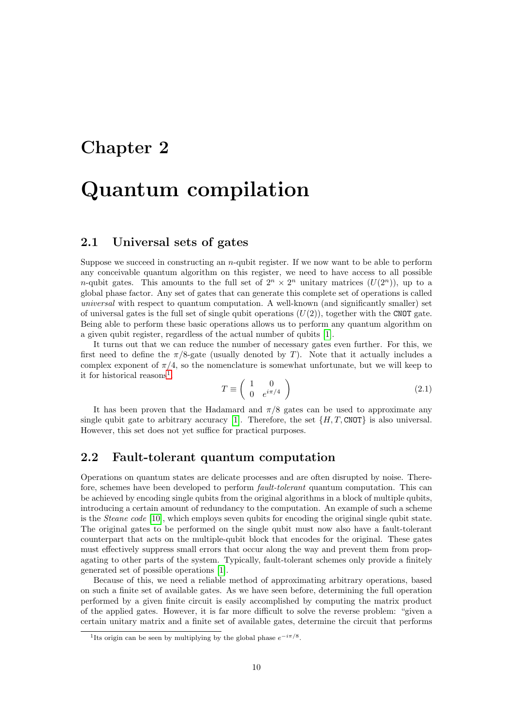# <span id="page-11-0"></span>Chapter 2

# Quantum compilation

### <span id="page-11-1"></span>2.1 Universal sets of gates

Suppose we succeed in constructing an  $n$ -qubit register. If we now want to be able to perform any conceivable quantum algorithm on this register, we need to have access to all possible *n*-qubit gates. This amounts to the full set of  $2^n \times 2^n$  unitary matrices  $(U(2^n))$ , up to a global phase factor. Any set of gates that can generate this complete set of operations is called universal with respect to quantum computation. A well-known (and significantly smaller) set of universal gates is the full set of single qubit operations  $(U(2))$ , together with the CNOT gate. Being able to perform these basic operations allows us to perform any quantum algorithm on a given qubit register, regardless of the actual number of qubits [\[1\]](#page-40-0).

It turns out that we can reduce the number of necessary gates even further. For this, we first need to define the  $\pi/8$ -gate (usually denoted by T). Note that it actually includes a complex exponent of  $\pi/4$ , so the nomenclature is somewhat unfortunate, but we will keep to it for historical reasons<sup>[1](#page-11-3)</sup>.

$$
T \equiv \left( \begin{array}{cc} 1 & 0 \\ 0 & e^{i\pi/4} \end{array} \right) \tag{2.1}
$$

It has been proven that the Hadamard and  $\pi/8$  gates can be used to approximate any single qubit gate to arbitrary accuracy [\[1\]](#page-40-0). Therefore, the set  $\{H, T, \text{CNOT}\}$  is also universal. However, this set does not yet suffice for practical purposes.

#### <span id="page-11-2"></span>2.2 Fault-tolerant quantum computation

Operations on quantum states are delicate processes and are often disrupted by noise. Therefore, schemes have been developed to perform fault-tolerant quantum computation. This can be achieved by encoding single qubits from the original algorithms in a block of multiple qubits, introducing a certain amount of redundancy to the computation. An example of such a scheme is the Steane code [\[10\]](#page-40-9), which employs seven qubits for encoding the original single qubit state. The original gates to be performed on the single qubit must now also have a fault-tolerant counterpart that acts on the multiple-qubit block that encodes for the original. These gates must effectively suppress small errors that occur along the way and prevent them from propagating to other parts of the system. Typically, fault-tolerant schemes only provide a finitely generated set of possible operations [\[1\]](#page-40-0).

Because of this, we need a reliable method of approximating arbitrary operations, based on such a finite set of available gates. As we have seen before, determining the full operation performed by a given finite circuit is easily accomplished by computing the matrix product of the applied gates. However, it is far more difficult to solve the reverse problem: "given a certain unitary matrix and a finite set of available gates, determine the circuit that performs

<span id="page-11-3"></span><sup>&</sup>lt;sup>1</sup>Its origin can be seen by multiplying by the global phase  $e^{-i\pi/8}$ .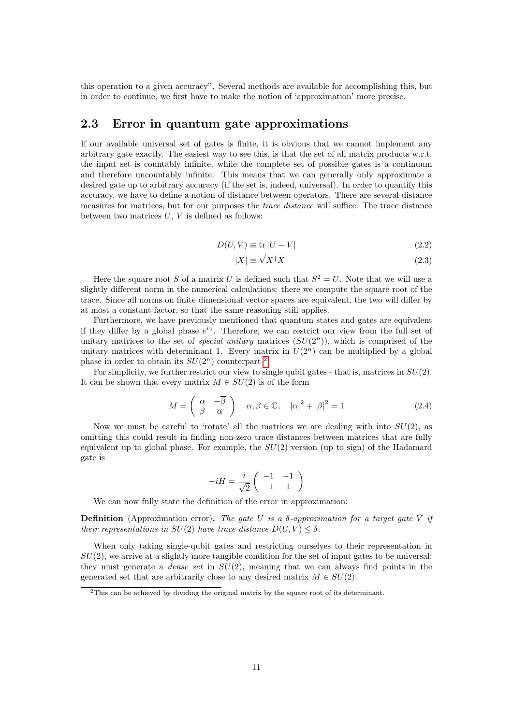this operation to a given accuracy". Several methods are available for accomplishing this, but in order to continue, we first have to make the notion of 'approximation' more precise.

### <span id="page-12-0"></span>2.3 Error in quantum gate approximations

If our available universal set of gates is finite, it is obvious that we cannot implement any arbitrary gate exactly. The easiest way to see this, is that the set of all matrix products w.r.t. the input set is countably infinite, while the complete set of possible gates is a continuum and therefore uncountably infinite. This means that we can generally only approximate a desired gate up to arbitrary accuracy (if the set is, indeed, universal). In order to quantify this accuracy, we have to define a notion of distance between operators. There are several distance measures for matrices, but for our purposes the trace distance will suffice. The trace distance between two matrices  $U, V$  is defined as follows:

$$
D(U, V) \equiv \text{tr}\left|U - V\right| \tag{2.2}
$$

<span id="page-12-3"></span>
$$
|X| \equiv \sqrt{X^{\dagger}X} \tag{2.3}
$$

Here the square root S of a matrix U is defined such that  $S^2 = U$ . Note that we will use a slightly different norm in the numerical calculations: there we compute the square root of the trace. Since all norms on finite dimensional vector spaces are equivalent, the two will differ by at most a constant factor, so that the same reasoning still applies.

Furthermore, we have previously mentioned that quantum states and gates are equivalent if they differ by a global phase  $e^{i\gamma}$ . Therefore, we can restrict our view from the full set of unitary matrices to the set of *special unitary* matrices  $(SU(2<sup>n</sup>))$ , which is comprised of the unitary matrices with determinant 1. Every matrix in  $U(2^n)$  can be multiplied by a global phase in order to obtain its  $SU(2<sup>n</sup>)$  $SU(2<sup>n</sup>)$  $SU(2<sup>n</sup>)$  counterpart <sup>2</sup>.

For simplicity, we further restrict our view to single qubit gates - that is, matrices in  $SU(2)$ . It can be shown that every matrix  $M \in SU(2)$  is of the form

<span id="page-12-2"></span>
$$
M = \begin{pmatrix} \alpha & -\overline{\beta} \\ \beta & \overline{\alpha} \end{pmatrix} \quad \alpha, \beta \in \mathbb{C}, \quad |\alpha|^2 + |\beta|^2 = 1 \tag{2.4}
$$

Now we must be careful to 'rotate' all the matrices we are dealing with into  $SU(2)$ , as omitting this could result in finding non-zero trace distances between matrices that are fully equivalent up to global phase. For example, the  $SU(2)$  version (up to sign) of the Hadamard gate is

$$
-iH = \frac{i}{\sqrt{2}} \begin{pmatrix} -1 & -1 \\ -1 & 1 \end{pmatrix}
$$

We can now fully state the definition of the error in approximation:

**Definition** (Approximation error). The gate U is a  $\delta$ -approximation for a target gate V if their representations in  $SU(2)$  have trace distance  $D(U, V) \leq \delta$ .

When only taking single-qubit gates and restricting ourselves to their representation in  $SU(2)$ , we arrive at a slightly more tangible condition for the set of input gates to be universal: they must generate a *dense set* in  $SU(2)$ , meaning that we can always find points in the generated set that are arbitrarily close to any desired matrix  $M \in SU(2)$ .

<span id="page-12-1"></span><sup>&</sup>lt;sup>2</sup>This can be achieved by dividing the original matrix by the square root of its determinant.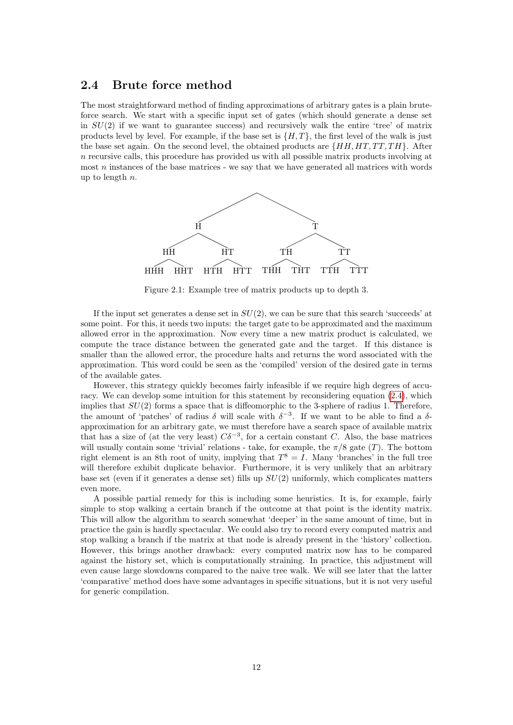#### <span id="page-13-0"></span>2.4 Brute force method

The most straightforward method of finding approximations of arbitrary gates is a plain bruteforce search. We start with a specific input set of gates (which should generate a dense set in  $SU(2)$  if we want to guarantee success) and recursively walk the entire 'tree' of matrix products level by level. For example, if the base set is  $\{H, T\}$ , the first level of the walk is just the base set again. On the second level, the obtained products are  $\{HH, HT, TT, TH\}$ . After n recursive calls, this procedure has provided us with all possible matrix products involving at most  $n$  instances of the base matrices - we say that we have generated all matrices with words up to length  $n$ .



Figure 2.1: Example tree of matrix products up to depth 3.

If the input set generates a dense set in  $SU(2)$ , we can be sure that this search 'succeeds' at some point. For this, it needs two inputs: the target gate to be approximated and the maximum allowed error in the approximation. Now every time a new matrix product is calculated, we compute the trace distance between the generated gate and the target. If this distance is smaller than the allowed error, the procedure halts and returns the word associated with the approximation. This word could be seen as the 'compiled' version of the desired gate in terms of the available gates.

However, this strategy quickly becomes fairly infeasible if we require high degrees of accuracy. We can develop some intuition for this statement by reconsidering equation  $(2.4)$ , which implies that  $SU(2)$  forms a space that is diffeomorphic to the 3-sphere of radius 1. Therefore, the amount of 'patches' of radius  $\delta$  will scale with  $\delta^{-3}$ . If we want to be able to find a  $\delta$ approximation for an arbitrary gate, we must therefore have a search space of available matrix that has a size of (at the very least)  $C\delta^{-3}$ , for a certain constant C. Also, the base matrices will usually contain some 'trivial' relations - take, for example, the  $\pi/8$  gate  $(T)$ . The bottom right element is an 8th root of unity, implying that  $T^8 = I$ . Many 'branches' in the full tree will therefore exhibit duplicate behavior. Furthermore, it is very unlikely that an arbitrary base set (even if it generates a dense set) fills up  $SU(2)$  uniformly, which complicates matters even more.

A possible partial remedy for this is including some heuristics. It is, for example, fairly simple to stop walking a certain branch if the outcome at that point is the identity matrix. This will allow the algorithm to search somewhat 'deeper' in the same amount of time, but in practice the gain is hardly spectacular. We could also try to record every computed matrix and stop walking a branch if the matrix at that node is already present in the 'history' collection. However, this brings another drawback: every computed matrix now has to be compared against the history set, which is computationally straining. In practice, this adjustment will even cause large slowdowns compared to the naive tree walk. We will see later that the latter 'comparative' method does have some advantages in specific situations, but it is not very useful for generic compilation.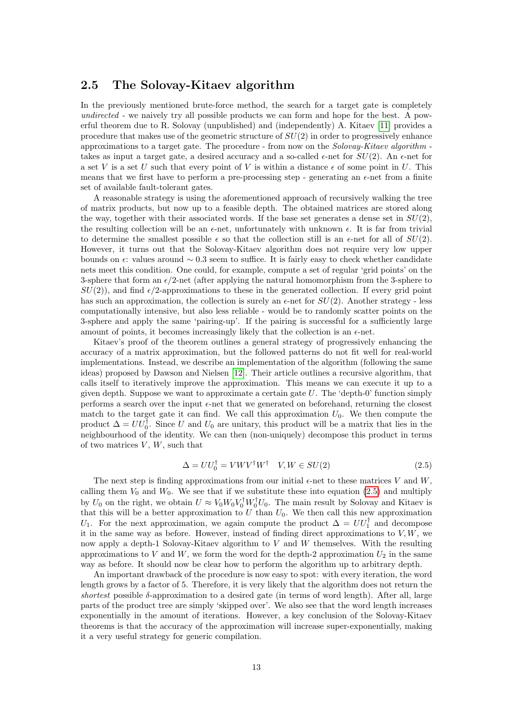### <span id="page-14-0"></span>2.5 The Solovay-Kitaev algorithm

In the previously mentioned brute-force method, the search for a target gate is completely undirected - we naively try all possible products we can form and hope for the best. A powerful theorem due to R. Solovay (unpublished) and (independently) A. Kitaev [\[11\]](#page-40-10) provides a procedure that makes use of the geometric structure of  $SU(2)$  in order to progressively enhance approximations to a target gate. The procedure - from now on the Solovay-Kitaev algorithm takes as input a target gate, a desired accuracy and a so-called  $\epsilon$ -net for  $SU(2)$ . An  $\epsilon$ -net for a set V is a set U such that every point of V is within a distance  $\epsilon$  of some point in U. This means that we first have to perform a pre-processing step - generating an  $\epsilon$ -net from a finite set of available fault-tolerant gates.

A reasonable strategy is using the aforementioned approach of recursively walking the tree of matrix products, but now up to a feasible depth. The obtained matrices are stored along the way, together with their associated words. If the base set generates a dense set in  $SU(2)$ , the resulting collection will be an  $\epsilon$ -net, unfortunately with unknown  $\epsilon$ . It is far from trivial to determine the smallest possible  $\epsilon$  so that the collection still is an  $\epsilon$ -net for all of  $SU(2)$ . However, it turns out that the Solovay-Kitaev algorithm does not require very low upper bounds on  $\epsilon$ : values around ∼ 0.3 seem to suffice. It is fairly easy to check whether candidate nets meet this condition. One could, for example, compute a set of regular 'grid points' on the 3-sphere that form an  $\epsilon/2$ -net (after applying the natural homomorphism from the 3-sphere to  $SU(2)$ , and find  $\epsilon/2$ -approximations to these in the generated collection. If every grid point has such an approximation, the collection is surely an  $\epsilon$ -net for  $SU(2)$ . Another strategy - less computationally intensive, but also less reliable - would be to randomly scatter points on the 3-sphere and apply the same 'pairing-up'. If the pairing is successful for a sufficiently large amount of points, it becomes increasingly likely that the collection is an  $\epsilon$ -net.

Kitaev's proof of the theorem outlines a general strategy of progressively enhancing the accuracy of a matrix approximation, but the followed patterns do not fit well for real-world implementations. Instead, we describe an implementation of the algorithm (following the same ideas) proposed by Dawson and Nielsen [\[12\]](#page-40-11). Their article outlines a recursive algorithm, that calls itself to iteratively improve the approximation. This means we can execute it up to a given depth. Suppose we want to approximate a certain gate  $U$ . The 'depth-0' function simply performs a search over the input  $\epsilon$ -net that we generated on beforehand, returning the closest match to the target gate it can find. We call this approximation  $U_0$ . We then compute the product  $\Delta = U U_0^{\dagger}$ . Since U and U<sub>0</sub> are unitary, this product will be a matrix that lies in the neighbourhood of the identity. We can then (non-uniquely) decompose this product in terms of two matrices  $V, W$ , such that

<span id="page-14-1"></span>
$$
\Delta = U U_0^{\dagger} = V W V^{\dagger} W^{\dagger} \quad V, W \in SU(2)
$$
\n
$$
(2.5)
$$

The next step is finding approximations from our initial  $\epsilon$ -net to these matrices V and W, calling them  $V_0$  and  $W_0$ . We see that if we substitute these into equation (2.[5\)](#page-14-1) and multiply by  $U_0$  on the right, we obtain  $U \approx V_0 W_0 V_0^{\dagger} W_0^{\dagger} U_0$ . The main result by Solovay and Kitaev is that this will be a better approximation to  $U$  than  $U_0$ . We then call this new approximation U<sub>1</sub>. For the next approximation, we again compute the product  $\Delta = U U_1^{\dagger}$  and decompose it in the same way as before. However, instead of finding direct approximations to  $V, W$ , we now apply a depth-1 Solovay-Kitaev algorithm to V and W themselves. With the resulting approximations to V and W, we form the word for the depth-2 approximation  $U_2$  in the same way as before. It should now be clear how to perform the algorithm up to arbitrary depth.

An important drawback of the procedure is now easy to spot: with every iteration, the word length grows by a factor of 5. Therefore, it is very likely that the algorithm does not return the shortest possible  $\delta$ -approximation to a desired gate (in terms of word length). After all, large parts of the product tree are simply 'skipped over'. We also see that the word length increases exponentially in the amount of iterations. However, a key conclusion of the Solovay-Kitaev theorems is that the accuracy of the approximation will increase super-exponentially, making it a very useful strategy for generic compilation.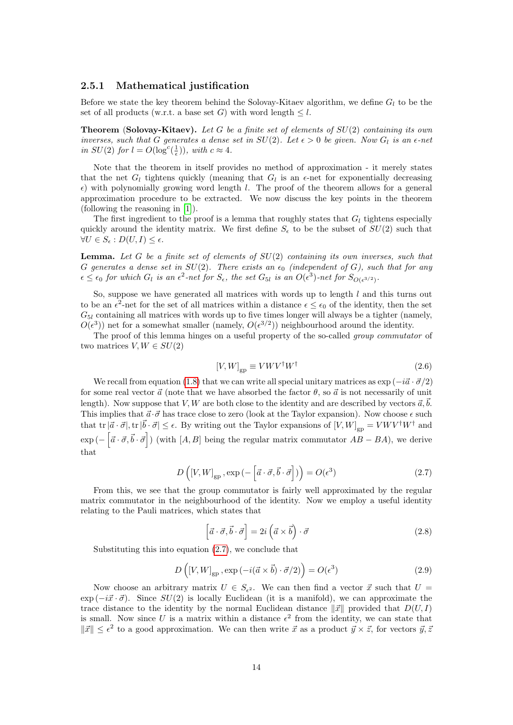#### <span id="page-15-0"></span>2.5.1 Mathematical justification

Before we state the key theorem behind the Solovay-Kitaev algorithm, we define  $G_l$  to be the set of all products (w.r.t. a base set G) with word length  $\leq l$ .

**Theorem (Solovay-Kitaev).** Let G be a finite set of elements of  $SU(2)$  containing its own inverses, such that G generates a dense set in  $SU(2)$ . Let  $\epsilon > 0$  be given. Now  $G_l$  is an  $\epsilon$ -net in  $SU(2)$  for  $l = O(\log^c(\frac{1}{\epsilon}))$ , with  $c \approx 4$ .

Note that the theorem in itself provides no method of approximation - it merely states that the net  $G_l$  tightens quickly (meaning that  $G_l$  is an  $\epsilon$ -net for exponentially decreasing  $\epsilon$ ) with polynomially growing word length l. The proof of the theorem allows for a general approximation procedure to be extracted. We now discuss the key points in the theorem (following the reasoning in [\[1\]](#page-40-0)).

The first ingredient to the proof is a lemma that roughly states that  $G_l$  tightens especially quickly around the identity matrix. We first define  $S_{\epsilon}$  to be the subset of  $SU(2)$  such that  $\forall U \in S_{\epsilon} : D(U, I) \leq \epsilon.$ 

**Lemma.** Let G be a finite set of elements of  $SU(2)$  containing its own inverses, such that G generates a dense set in  $SU(2)$ . There exists an  $\epsilon_0$  (independent of G), such that for any  $\epsilon \leq \epsilon_0$  for which  $G_l$  is an  $\epsilon^2$ -net for  $S_{\epsilon}$ , the set  $G_{5l}$  is an  $O(\epsilon^3)$ -net for  $S_{O(\epsilon^{3/2})}$ .

So, suppose we have generated all matrices with words up to length  $l$  and this turns out to be an  $\epsilon^2$ -net for the set of all matrices within a distance  $\epsilon \leq \epsilon_0$  of the identity, then the set  $G_{5l}$  containing all matrices with words up to five times longer will always be a tighter (namely,  $O(\epsilon^3)$ ) net for a somewhat smaller (namely,  $O(\epsilon^{3/2})$ ) neighbourhood around the identity.

The proof of this lemma hinges on a useful property of the so-called *group commutator* of two matrices  $V, W \in SU(2)$ 

$$
[V, W]_{\rm gp} \equiv V W V^{\dagger} W^{\dagger} \tag{2.6}
$$

We recall from equation [\(1.8\)](#page-8-2) that we can write all special unitary matrices as  $\exp(-i\vec{a}\cdot\vec{\sigma}/2)$ for some real vector  $\vec{a}$  (note that we have absorbed the factor  $\theta$ , so  $\vec{a}$  is not necessarily of unit length). Now suppose that V, W are both close to the identity and are described by vectors  $\vec{a}, \vec{b}$ . This implies that  $\vec{a} \cdot \vec{\sigma}$  has trace close to zero (look at the Taylor expansion). Now choose  $\epsilon$  such that tr  $|\vec{a} \cdot \vec{\sigma}|$ , tr  $|\vec{b} \cdot \vec{\sigma}| \leq \epsilon$ . By writing out the Taylor expansions of  $[V, W]_{gp} = VWV^{\dagger}W^{\dagger}$  and  $\exp(-\left[\vec{a}\cdot\vec{\sigma},\vec{b}\cdot\vec{\sigma}\right])$  (with  $[A,B]$  being the regular matrix commutator  $AB - BA$ ), we derive that

<span id="page-15-1"></span>
$$
D\left([V,W]_{\text{gp}}, \exp\left(-\left[\vec{a}\cdot\vec{\sigma}, \vec{b}\cdot\vec{\sigma}\right]\right)\right) = O(\epsilon^3)
$$
\n(2.7)

From this, we see that the group commutator is fairly well approximated by the regular matrix commutator in the neighbourhood of the identity. Now we employ a useful identity relating to the Pauli matrices, which states that

$$
\left[\vec{a}\cdot\vec{\sigma},\vec{b}\cdot\vec{\sigma}\right] = 2i\left(\vec{a}\times\vec{b}\right)\cdot\vec{\sigma}
$$
\n(2.8)

Substituting this into equation [\(2.7\)](#page-15-1), we conclude that

$$
D\left([V,W]_{\text{gp}}, \exp\left(-i(\vec{a} \times \vec{b}) \cdot \vec{\sigma}/2\right)\right) = O(\epsilon^3)
$$
\n(2.9)

Now choose an arbitrary matrix  $U \in S_{\epsilon^2}$ . We can then find a vector  $\vec{x}$  such that  $U =$  $\exp(-i\vec{x}\cdot\vec{\sigma})$ . Since  $SU(2)$  is locally Euclidean (it is a manifold), we can approximate the trace distance to the identity by the normal Euclidean distance  $\|\vec{x}\|$  provided that  $D(U, I)$ is small. Now since U is a matrix within a distance  $\epsilon^2$  from the identity, we can state that  $\|\vec{x}\| \leq \epsilon^2$  to a good approximation. We can then write  $\vec{x}$  as a product  $\vec{y} \times \vec{z}$ , for vectors  $\vec{y}, \vec{z}$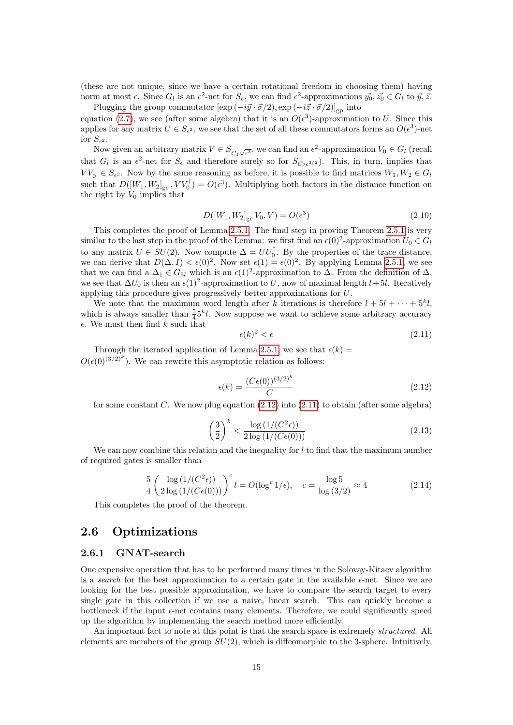(these are not unique, since we have a certain rotational freedom in choosing them) having norm at most  $\epsilon$ . Since  $G_l$  is an  $\epsilon^2$ -net for  $S_{\epsilon}$ , we can find  $\epsilon^2$ -approximations  $\vec{y_0}, \vec{z_0} \in G_l$  to  $\vec{y}, \vec{z}$ . Plugging the group commutator  $[\exp(-i\vec{y} \cdot \vec{\sigma}/2), \exp(-i\vec{z} \cdot \vec{\sigma}/2)]_{\text{gp}}$  into

equation [\(2.7\)](#page-15-1), we see (after some algebra) that it is an  $O(\epsilon^3)$ -approximation to U. Since this applies for any matrix  $U \in S_{\epsilon^2}$ , we see that the set of all these commutators forms an  $O(\epsilon^3)$ -net for  $S_{\epsilon^2}$ .

Now given an arbitrary matrix  $V \in S_{C_1\sqrt{\epsilon^3}}$ , we can find an  $\epsilon^2$ -approximation  $V_0 \in G_l$  (recall that  $G_l$  is an  $\epsilon^2$ -net for  $S_{\epsilon}$  and therefore surely so for  $S_{C_2\epsilon^{3/2}}$ ). This, in turn, implies that  $VV_0^{\dagger} \in S_{\epsilon^2}$ . Now by the same reasoning as before, it is possible to find matrices  $W_1, W_2 \in G_l$ such that  $D([W_1, W_2]_{\text{gc}}, V V_0^{\dagger}) = O(\epsilon^3)$ . Multiplying both factors in the distance function on the right by  $V_0$  implies that

$$
D([W_1, W_2]_{\rm gc} V_0, V) = O(\epsilon^3)
$$
\n(2.10)

This completes the proof of Lemma [2.5.1.](#page-15-0) The final step in proving Theorem [2.5.1](#page-15-0) is very similar to the last step in the proof of the Lemma: we first find an  $\epsilon(0)^2$ -approximation  $U_0 \in G_l$ to any matrix  $U \in SU(2)$ . Now compute  $\Delta = U U_0^{\dagger}$ . By the properties of the trace distance, we can derive that  $D(\Delta, I) < \epsilon(0)^2$ . Now set  $\epsilon(1) = \epsilon(0)^2$ . By applying Lemma [2.5.1,](#page-15-0) we see that we can find a  $\Delta_1 \in G_{5l}$  which is an  $\epsilon(1)^2$ -approximation to  $\Delta$ . From the definition of  $\Delta$ , we see that  $\Delta U_0$  is then an  $\epsilon(1)^2$ -approximation to U, now of maximal length  $l+5l$ . Iteratively applying this procedure gives progressively better approximations for U.

We note that the maximum word length after k iterations is therefore  $l + 5l + \cdots + 5^k l$ , which is always smaller than  $\frac{5}{4}5^k l$ . Now suppose we want to achieve some arbitrary accuracy  $\epsilon$ . We must then find k such that

<span id="page-16-3"></span>
$$
\epsilon(k)^2 < \epsilon \tag{2.11}
$$

Through the iterated application of Lemma [2.5.1,](#page-15-0) we see that  $\epsilon(k)$  =  $O(\epsilon(0)^{(3/2)^k})$ . We can rewrite this asymptotic relation as follows:

<span id="page-16-2"></span>
$$
\epsilon(k) = \frac{(C\epsilon(0))^{(3/2)^k}}{C} \tag{2.12}
$$

for some constant C. We now plug equation  $(2.12)$  into  $(2.11)$  to obtain (after some algebra)

$$
\left(\frac{3}{2}\right)^k < \frac{\log\left(1/(C^2\epsilon)\right)}{2\log\left(1/(C\epsilon(0))\right)}\tag{2.13}
$$

We can now combine this relation and the inequality for  $l$  to find that the maximum number of required gates is smaller than

$$
\frac{5}{4} \left( \frac{\log \left( 1/(C^2 \epsilon) \right)}{2 \log \left( 1/(C \epsilon(0)) \right)} \right)^c l = O(\log^c 1/\epsilon), \quad c = \frac{\log 5}{\log \left( 3/2 \right)} \approx 4 \tag{2.14}
$$

This completes the proof of the theorem.

## <span id="page-16-0"></span>2.6 Optimizations

#### <span id="page-16-1"></span>2.6.1 GNAT-search

One expensive operation that has to be performed many times in the Solovay-Kitaev algorithm is a search for the best approximation to a certain gate in the available  $\epsilon$ -net. Since we are looking for the best possible approximation, we have to compare the search target to every single gate in this collection if we use a naive, linear search. This can quickly become a bottleneck if the input  $\epsilon$ -net contains many elements. Therefore, we could significantly speed up the algorithm by implementing the search method more efficiently.

An important fact to note at this point is that the search space is extremely *structured*. All elements are members of the group  $SU(2)$ , which is diffeomorphic to the 3-sphere. Intuitively,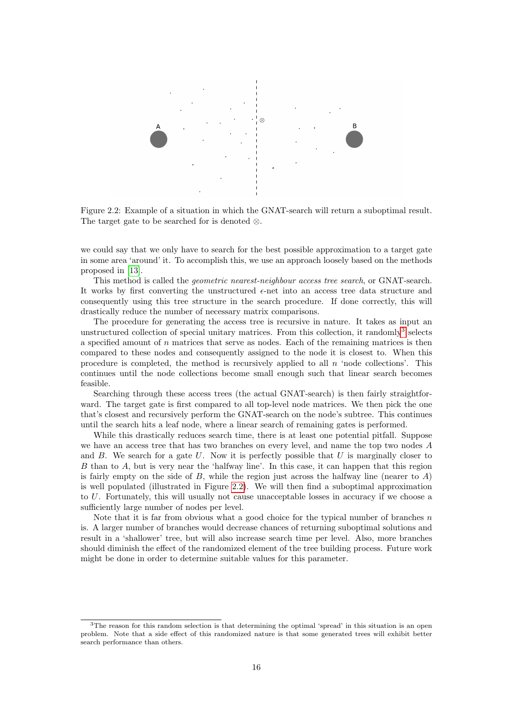<span id="page-17-1"></span>

Figure 2.2: Example of a situation in which the GNAT-search will return a suboptimal result. The target gate to be searched for is denoted ⊗.

we could say that we only have to search for the best possible approximation to a target gate in some area 'around' it. To accomplish this, we use an approach loosely based on the methods proposed in [\[13\]](#page-40-12).

This method is called the geometric nearest-neighbour access tree search, or GNAT-search. It works by first converting the unstructured  $\epsilon$ -net into an access tree data structure and consequently using this tree structure in the search procedure. If done correctly, this will drastically reduce the number of necessary matrix comparisons.

The procedure for generating the access tree is recursive in nature. It takes as input an unstructured collection of special unitary matrices. From this collection, it randomly<sup>[3](#page-17-0)</sup> selects a specified amount of n matrices that serve as nodes. Each of the remaining matrices is then compared to these nodes and consequently assigned to the node it is closest to. When this procedure is completed, the method is recursively applied to all n 'node collections'. This continues until the node collections become small enough such that linear search becomes feasible.

Searching through these access trees (the actual GNAT-search) is then fairly straightforward. The target gate is first compared to all top-level node matrices. We then pick the one that's closest and recursively perform the GNAT-search on the node's subtree. This continues until the search hits a leaf node, where a linear search of remaining gates is performed.

While this drastically reduces search time, there is at least one potential pitfall. Suppose we have an access tree that has two branches on every level, and name the top two nodes A and  $B$ . We search for a gate U. Now it is perfectly possible that U is marginally closer to B than to A, but is very near the 'halfway line'. In this case, it can happen that this region is fairly empty on the side of  $B$ , while the region just across the halfway line (nearer to  $A$ ) is well populated (illustrated in Figure [2.2\)](#page-17-1). We will then find a suboptimal approximation to U. Fortunately, this will usually not cause unacceptable losses in accuracy if we choose a sufficiently large number of nodes per level.

Note that it is far from obvious what a good choice for the typical number of branches  $n$ is. A larger number of branches would decrease chances of returning suboptimal solutions and result in a 'shallower' tree, but will also increase search time per level. Also, more branches should diminish the effect of the randomized element of the tree building process. Future work might be done in order to determine suitable values for this parameter.

<span id="page-17-0"></span><sup>&</sup>lt;sup>3</sup>The reason for this random selection is that determining the optimal 'spread' in this situation is an open problem. Note that a side effect of this randomized nature is that some generated trees will exhibit better search performance than others.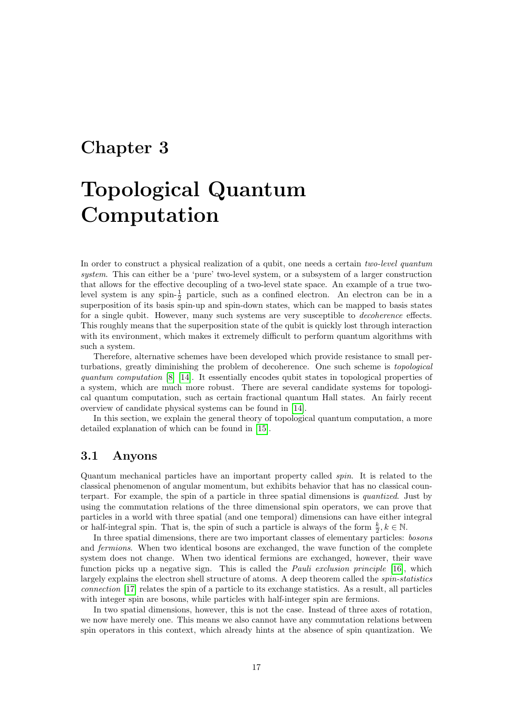# <span id="page-18-0"></span>Chapter 3

# Topological Quantum Computation

In order to construct a physical realization of a qubit, one needs a certain two-level quantum system. This can either be a 'pure' two-level system, or a subsystem of a larger construction that allows for the effective decoupling of a two-level state space. An example of a true twolevel system is any spin- $\frac{1}{2}$  particle, such as a confined electron. An electron can be in a superposition of its basis spin-up and spin-down states, which can be mapped to basis states for a single qubit. However, many such systems are very susceptible to decoherence effects. This roughly means that the superposition state of the qubit is quickly lost through interaction with its environment, which makes it extremely difficult to perform quantum algorithms with such a system.

Therefore, alternative schemes have been developed which provide resistance to small perturbations, greatly diminishing the problem of decoherence. One such scheme is topological quantum computation [\[8\]](#page-40-7) [\[14\]](#page-40-13). It essentially encodes qubit states in topological properties of a system, which are much more robust. There are several candidate systems for topological quantum computation, such as certain fractional quantum Hall states. An fairly recent overview of candidate physical systems can be found in [\[14\]](#page-40-13).

In this section, we explain the general theory of topological quantum computation, a more detailed explanation of which can be found in [\[15\]](#page-40-14).

#### <span id="page-18-1"></span>3.1 Anyons

Quantum mechanical particles have an important property called spin. It is related to the classical phenomenon of angular momentum, but exhibits behavior that has no classical counterpart. For example, the spin of a particle in three spatial dimensions is quantized. Just by using the commutation relations of the three dimensional spin operators, we can prove that particles in a world with three spatial (and one temporal) dimensions can have either integral or half-integral spin. That is, the spin of such a particle is always of the form  $\frac{k}{2}$ ,  $k \in \mathbb{N}$ .

In three spatial dimensions, there are two important classes of elementary particles: bosons and *fermions*. When two identical bosons are exchanged, the wave function of the complete system does not change. When two identical fermions are exchanged, however, their wave function picks up a negative sign. This is called the *Pauli exclusion principle* [\[16\]](#page-40-15), which largely explains the electron shell structure of atoms. A deep theorem called the spin-statistics connection [\[17\]](#page-41-0) relates the spin of a particle to its exchange statistics. As a result, all particles with integer spin are bosons, while particles with half-integer spin are fermions.

In two spatial dimensions, however, this is not the case. Instead of three axes of rotation, we now have merely one. This means we also cannot have any commutation relations between spin operators in this context, which already hints at the absence of spin quantization. We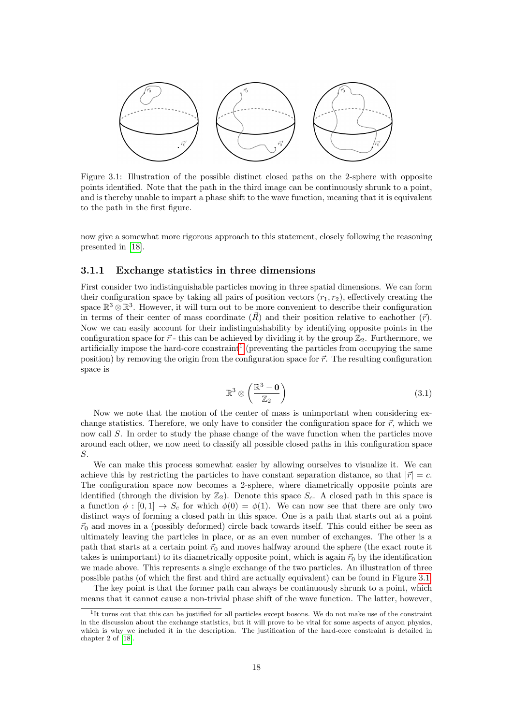<span id="page-19-2"></span>

Figure 3.1: Illustration of the possible distinct closed paths on the 2-sphere with opposite points identified. Note that the path in the third image can be continuously shrunk to a point, and is thereby unable to impart a phase shift to the wave function, meaning that it is equivalent to the path in the first figure.

now give a somewhat more rigorous approach to this statement, closely following the reasoning presented in [\[18\]](#page-41-1).

#### <span id="page-19-0"></span>3.1.1 Exchange statistics in three dimensions

First consider two indistinguishable particles moving in three spatial dimensions. We can form their configuration space by taking all pairs of position vectors  $(r_1, r_2)$ , effectively creating the space  $\mathbb{R}^3 \otimes \mathbb{R}^3$ . However, it will turn out to be more convenient to describe their configuration in terms of their center of mass coordinate  $(\vec{R})$  and their position relative to eachother  $(\vec{r})$ . Now we can easily account for their indistinguishability by identifying opposite points in the configuration space for  $\vec{r}$  - this can be achieved by dividing it by the group  $\mathbb{Z}_2$ . Furthermore, we artificially impose the hard-core constraint<sup>[1](#page-19-1)</sup> (preventing the particles from occupying the same position) by removing the origin from the configuration space for  $\vec{r}$ . The resulting configuration space is

$$
\mathbb{R}^3 \otimes \left(\frac{\mathbb{R}^3 - \mathbf{0}}{\mathbb{Z}_2}\right) \tag{3.1}
$$

Now we note that the motion of the center of mass is unimportant when considering exchange statistics. Therefore, we only have to consider the configuration space for  $\vec{r}$ , which we now call S. In order to study the phase change of the wave function when the particles move around each other, we now need to classify all possible closed paths in this configuration space S.

We can make this process somewhat easier by allowing ourselves to visualize it. We can achieve this by restricting the particles to have constant separation distance, so that  $|\vec{r}| = c$ . The configuration space now becomes a 2-sphere, where diametrically opposite points are identified (through the division by  $\mathbb{Z}_2$ ). Denote this space  $S_c$ . A closed path in this space is a function  $\phi : [0,1] \to S_c$  for which  $\phi(0) = \phi(1)$ . We can now see that there are only two distinct ways of forming a closed path in this space. One is a path that starts out at a point  $\vec{r}_0$  and moves in a (possibly deformed) circle back towards itself. This could either be seen as ultimately leaving the particles in place, or as an even number of exchanges. The other is a path that starts at a certain point  $\vec{r}_0$  and moves halfway around the sphere (the exact route it takes is unimportant) to its diametrically opposite point, which is again  $\vec{r}_0$  by the identification we made above. This represents a single exchange of the two particles. An illustration of three possible paths (of which the first and third are actually equivalent) can be found in Figure [3.1.](#page-19-2)

The key point is that the former path can always be continuously shrunk to a point, which means that it cannot cause a non-trivial phase shift of the wave function. The latter, however,

<span id="page-19-1"></span><sup>&</sup>lt;sup>1</sup>It turns out that this can be justified for all particles except bosons. We do not make use of the constraint in the discussion about the exchange statistics, but it will prove to be vital for some aspects of anyon physics, which is why we included it in the description. The justification of the hard-core constraint is detailed in chapter 2 of [\[18\]](#page-41-1).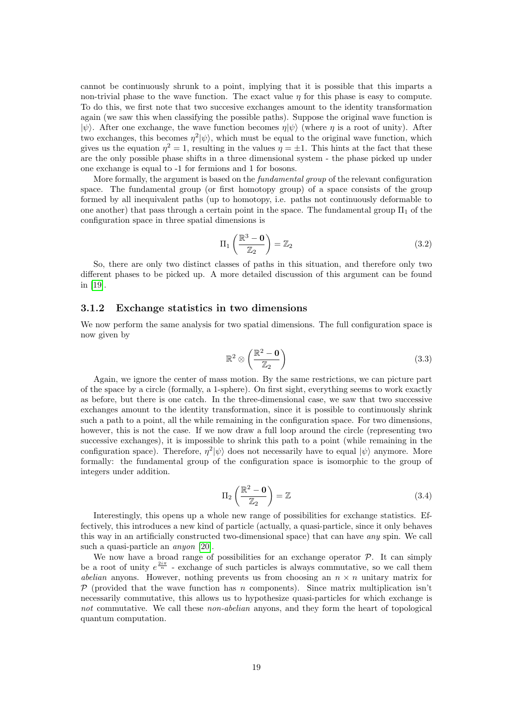cannot be continuously shrunk to a point, implying that it is possible that this imparts a non-trivial phase to the wave function. The exact value  $\eta$  for this phase is easy to compute. To do this, we first note that two succesive exchanges amount to the identity transformation again (we saw this when classifying the possible paths). Suppose the original wave function is  $|\psi\rangle$ . After one exchange, the wave function becomes  $\eta|\psi\rangle$  (where  $\eta$  is a root of unity). After two exchanges, this becomes  $\eta^2|\psi\rangle$ , which must be equal to the original wave function, which gives us the equation  $\eta^2 = 1$ , resulting in the values  $\eta = \pm 1$ . This hints at the fact that these are the only possible phase shifts in a three dimensional system - the phase picked up under one exchange is equal to -1 for fermions and 1 for bosons.

More formally, the argument is based on the *fundamental group* of the relevant configuration space. The fundamental group (or first homotopy group) of a space consists of the group formed by all inequivalent paths (up to homotopy, i.e. paths not continuously deformable to one another) that pass through a certain point in the space. The fundamental group  $\Pi_1$  of the configuration space in three spatial dimensions is

$$
\Pi_1\left(\frac{\mathbb{R}^3 - \mathbf{0}}{\mathbb{Z}_2}\right) = \mathbb{Z}_2 \tag{3.2}
$$

So, there are only two distinct classes of paths in this situation, and therefore only two different phases to be picked up. A more detailed discussion of this argument can be found in [\[19\]](#page-41-2).

#### <span id="page-20-0"></span>3.1.2 Exchange statistics in two dimensions

We now perform the same analysis for two spatial dimensions. The full configuration space is now given by

$$
\mathbb{R}^2 \otimes \left(\frac{\mathbb{R}^2 - \mathbf{0}}{\mathbb{Z}_2}\right) \tag{3.3}
$$

Again, we ignore the center of mass motion. By the same restrictions, we can picture part of the space by a circle (formally, a 1-sphere). On first sight, everything seems to work exactly as before, but there is one catch. In the three-dimensional case, we saw that two successive exchanges amount to the identity transformation, since it is possible to continuously shrink such a path to a point, all the while remaining in the configuration space. For two dimensions, however, this is not the case. If we now draw a full loop around the circle (representing two successive exchanges), it is impossible to shrink this path to a point (while remaining in the configuration space). Therefore,  $\eta^2|\psi\rangle$  does not necessarily have to equal  $|\psi\rangle$  anymore. More formally: the fundamental group of the configuration space is isomorphic to the group of integers under addition.

$$
\Pi_2 \left( \frac{\mathbb{R}^2 - \mathbf{0}}{\mathbb{Z}_2} \right) = \mathbb{Z}
$$
\n(3.4)

Interestingly, this opens up a whole new range of possibilities for exchange statistics. Effectively, this introduces a new kind of particle (actually, a quasi-particle, since it only behaves this way in an artificially constructed two-dimensional space) that can have any spin. We call such a quasi-particle an *anyon* [\[20\]](#page-41-3).

We now have a broad range of possibilities for an exchange operator  $P$ . It can simply be a root of unity  $e^{\frac{2i\pi}{n}}$  - exchange of such particles is always commutative, so we call them abelian anyons. However, nothing prevents us from choosing an  $n \times n$  unitary matrix for  $P$  (provided that the wave function has n components). Since matrix multiplication isn't necessarily commutative, this allows us to hypothesize quasi-particles for which exchange is not commutative. We call these non-abelian anyons, and they form the heart of topological quantum computation.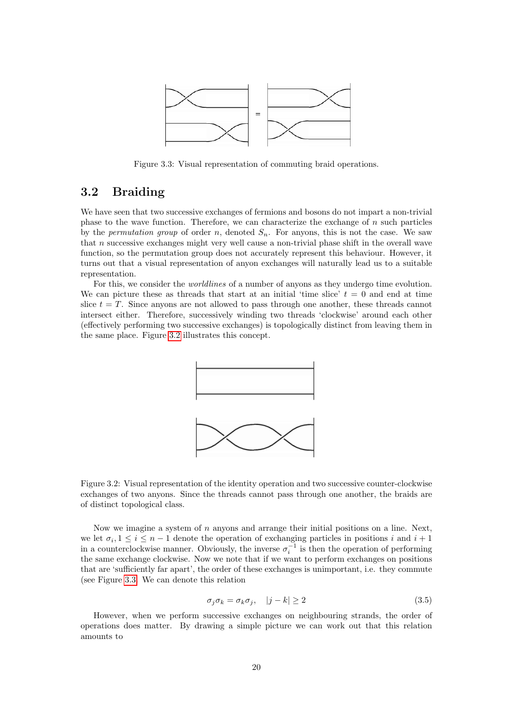<span id="page-21-2"></span>

Figure 3.3: Visual representation of commuting braid operations.

### <span id="page-21-0"></span>3.2 Braiding

We have seen that two successive exchanges of fermions and bosons do not impart a non-trivial phase to the wave function. Therefore, we can characterize the exchange of  $n$  such particles by the permutation group of order n, denoted  $S_n$ . For anyons, this is not the case. We saw that  $n$  successive exchanges might very well cause a non-trivial phase shift in the overall wave function, so the permutation group does not accurately represent this behaviour. However, it turns out that a visual representation of anyon exchanges will naturally lead us to a suitable representation.

<span id="page-21-1"></span>For this, we consider the worldlines of a number of anyons as they undergo time evolution. We can picture these as threads that start at an initial 'time slice'  $t = 0$  and end at time slice  $t = T$ . Since anyons are not allowed to pass through one another, these threads cannot intersect either. Therefore, successively winding two threads 'clockwise' around each other (effectively performing two successive exchanges) is topologically distinct from leaving them in the same place. Figure [3.2](#page-21-1) illustrates this concept.



Figure 3.2: Visual representation of the identity operation and two successive counter-clockwise exchanges of two anyons. Since the threads cannot pass through one another, the braids are of distinct topological class.

Now we imagine a system of  $n$  anyons and arrange their initial positions on a line. Next, we let  $\sigma_i, 1 \leq i \leq n-1$  denote the operation of exchanging particles in positions i and  $i+1$ in a counterclockwise manner. Obviously, the inverse  $\sigma_i^{-1}$  is then the operation of performing the same exchange clockwise. Now we note that if we want to perform exchanges on positions that are 'sufficiently far apart', the order of these exchanges is unimportant, i.e. they commute (see Figure [3.3.](#page-21-2) We can denote this relation

$$
\sigma_j \sigma_k = \sigma_k \sigma_j, \quad |j - k| \ge 2 \tag{3.5}
$$

However, when we perform successive exchanges on neighbouring strands, the order of operations does matter. By drawing a simple picture we can work out that this relation amounts to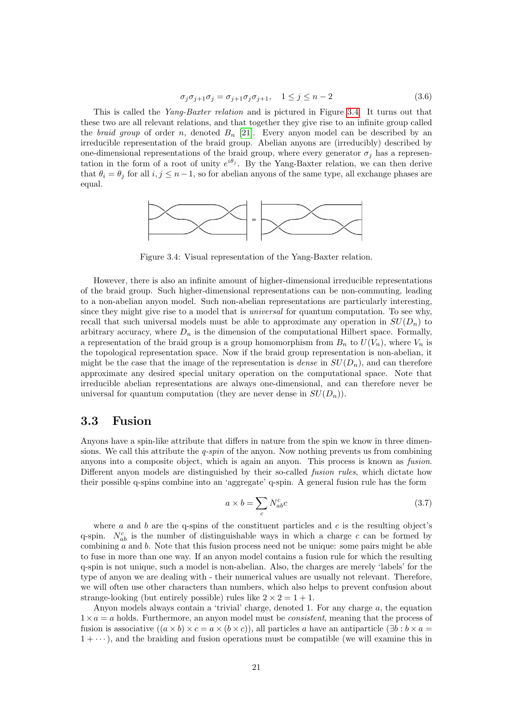$$
\sigma_j \sigma_{j+1} \sigma_j = \sigma_{j+1} \sigma_j \sigma_{j+1}, \quad 1 \le j \le n-2 \tag{3.6}
$$

This is called the Yang-Baxter relation and is pictured in Figure [3.4.](#page-22-1) It turns out that these two are all relevant relations, and that together they give rise to an infinite group called the *braid group* of order n, denoted  $B_n$  [\[21\]](#page-41-4). Every anyon model can be described by an irreducible representation of the braid group. Abelian anyons are (irreducibly) described by one-dimensional representations of the braid group, where every generator  $\sigma_i$  has a representation in the form of a root of unity  $e^{i\theta_j}$ . By the Yang-Baxter relation, we can then derive that  $\theta_i = \theta_j$  for all  $i, j \leq n-1$ , so for abelian anyons of the same type, all exchange phases are equal.

<span id="page-22-1"></span>

Figure 3.4: Visual representation of the Yang-Baxter relation.

However, there is also an infinite amount of higher-dimensional irreducible representations of the braid group. Such higher-dimensional representations can be non-commuting, leading to a non-abelian anyon model. Such non-abelian representations are particularly interesting, since they might give rise to a model that is universal for quantum computation. To see why, recall that such universal models must be able to approximate any operation in  $SU(D_n)$  to arbitrary accuracy, where  $D_n$  is the dimension of the computational Hilbert space. Formally, a representation of the braid group is a group homomorphism from  $B_n$  to  $U(V_n)$ , where  $V_n$  is the topological representation space. Now if the braid group representation is non-abelian, it might be the case that the image of the representation is *dense* in  $SU(D_n)$ , and can therefore approximate any desired special unitary operation on the computational space. Note that irreducible abelian representations are always one-dimensional, and can therefore never be universal for quantum computation (they are never dense in  $SU(D_n)$ ).

#### <span id="page-22-0"></span>3.3 Fusion

Anyons have a spin-like attribute that differs in nature from the spin we know in three dimensions. We call this attribute the  $q$ -spin of the anyon. Now nothing prevents us from combining anyons into a composite object, which is again an anyon. This process is known as fusion. Different anyon models are distinguished by their so-called *fusion rules*, which dictate how their possible q-spins combine into an 'aggregate' q-spin. A general fusion rule has the form

$$
a \times b = \sum_{c} N_{ab}^{c} c \tag{3.7}
$$

where a and b are the q-spins of the constituent particles and c is the resulting object's q-spin.  $N_{ab}^c$  is the number of distinguishable ways in which a charge c can be formed by combining a and b. Note that this fusion process need not be unique: some pairs might be able to fuse in more than one way. If an anyon model contains a fusion rule for which the resulting q-spin is not unique, such a model is non-abelian. Also, the charges are merely 'labels' for the type of anyon we are dealing with - their numerical values are usually not relevant. Therefore, we will often use other characters than numbers, which also helps to prevent confusion about strange-looking (but entirely possible) rules like  $2 \times 2 = 1 + 1$ .

Anyon models always contain a 'trivial' charge, denoted 1. For any charge  $a$ , the equation  $1 \times a = a$  holds. Furthermore, an anyon model must be *consistent*, meaning that the process of fusion is associative  $((a \times b) \times c = a \times (b \times c))$ , all particles a have an antiparticle  $(\exists b : b \times a =$  $1 + \cdots$ ), and the braiding and fusion operations must be compatible (we will examine this in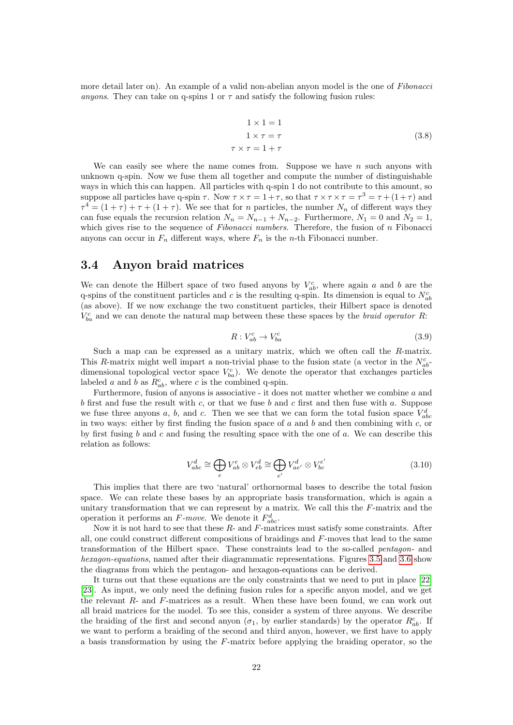more detail later on). An example of a valid non-abelian anyon model is the one of *Fibonacci* anyons. They can take on q-spins 1 or  $\tau$  and satisfy the following fusion rules:

$$
1 \times 1 = 1
$$
  

$$
1 \times \tau = \tau
$$
  

$$
\tau \times \tau = 1 + \tau
$$
 (3.8)

We can easily see where the name comes from. Suppose we have  $n$  such anyons with unknown q-spin. Now we fuse them all together and compute the number of distinguishable ways in which this can happen. All particles with q-spin 1 do not contribute to this amount, so suppose all particles have q-spin  $\tau$ . Now  $\tau \times \tau = 1 + \tau$ , so that  $\tau \times \tau \times \tau = \tau^3 = \tau + (1 + \tau)$  and  $\tau^4 = (1 + \tau) + \tau + (1 + \tau)$ . We see that for *n* particles, the number  $N_n$  of different ways they can fuse equals the recursion relation  $N_n = N_{n-1} + N_{n-2}$ . Furthermore,  $N_1 = 0$  and  $N_2 = 1$ , which gives rise to the sequence of Fibonacci numbers. Therefore, the fusion of  $n$  Fibonacci anyons can occur in  $F_n$  different ways, where  $F_n$  is the *n*-th Fibonacci number.

#### <span id="page-23-0"></span>3.4 Anyon braid matrices

We can denote the Hilbert space of two fused anyons by  $V_{ab}^c$ , where again a and b are the q-spins of the constituent particles and c is the resulting q-spin. Its dimension is equal to  $N_{ab}^c$ (as above). If we now exchange the two constituent particles, their Hilbert space is denoted  $V_{ba}^c$  and we can denote the natural map between these these spaces by the *braid operator* R:

$$
R: V_{ab}^c \to V_{ba}^c \tag{3.9}
$$

Such a map can be expressed as a unitary matrix, which we often call the R-matrix. This R-matrix might well impart a non-trivial phase to the fusion state (a vector in the  $N_{ab}^c$ dimensional topological vector space  $V_{ba}^c$ ). We denote the operator that exchanges particles labeled a and b as  $R_{ab}^c$ , where c is the combined q-spin.

Furthermore, fusion of anyons is associative - it does not matter whether we combine a and b first and fuse the result with c, or that we fuse b and c first and then fuse with a. Suppose we fuse three anyons a, b, and c. Then we see that we can form the total fusion space  $V_{abc}^d$ in two ways: either by first finding the fusion space of  $a$  and  $b$  and then combining with  $c$ , or by first fusing b and c and fusing the resulting space with the one of  $a$ . We can describe this relation as follows:

$$
V_{abc}^d \cong \bigoplus_e V_{ab}^e \otimes V_{eb}^d \cong \bigoplus_{e'} V_{ae'}^d \otimes V_{bc}^{e'} \tag{3.10}
$$

This implies that there are two 'natural' orthornormal bases to describe the total fusion space. We can relate these bases by an appropriate basis transformation, which is again a unitary transformation that we can represent by a matrix. We call this the F-matrix and the operation it performs an F-move. We denote it  $F_{abc}^d$ .

Now it is not hard to see that these  $R$ - and  $F$ -matrices must satisfy some constraints. After all, one could construct different compositions of braidings and F-moves that lead to the same transformation of the Hilbert space. These constraints lead to the so-called pentagon- and hexagon-equations, named after their diagrammatic representations. Figures [3.5](#page-24-0) and [3.6](#page-24-1) show the diagrams from which the pentagon- and hexagon-equations can be derived.

It turns out that these equations are the only constraints that we need to put in place [\[22\]](#page-41-5) [\[23\]](#page-41-6). As input, we only need the defining fusion rules for a specific anyon model, and we get the relevant R- and F-matrices as a result. When these have been found, we can work out all braid matrices for the model. To see this, consider a system of three anyons. We describe the braiding of the first and second anyon ( $\sigma_1$ , by earlier standards) by the operator  $R_{ab}^c$ . If we want to perform a braiding of the second and third anyon, however, we first have to apply a basis transformation by using the F-matrix before applying the braiding operator, so the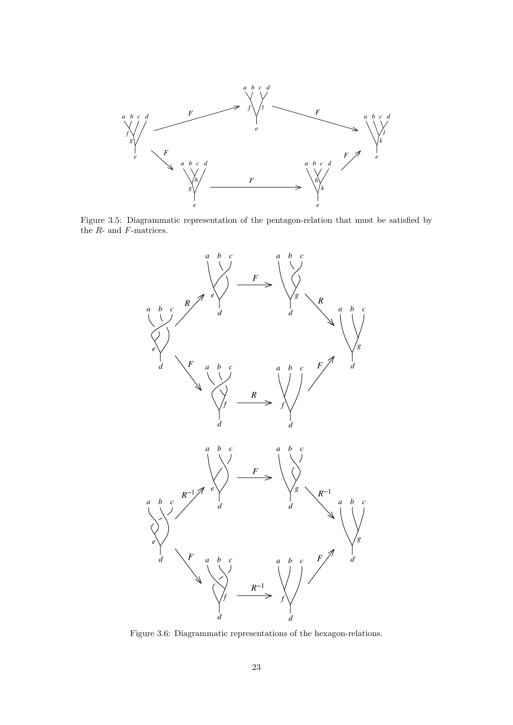<span id="page-24-0"></span>

<span id="page-24-1"></span>Figure 3.5: Diagrammatic representation of the pentagon-relation that must be satisfied by the  $R$ - and  $F$ -matrices.



Figure 3.6: Diagrammatic representations of the hexagon-relations.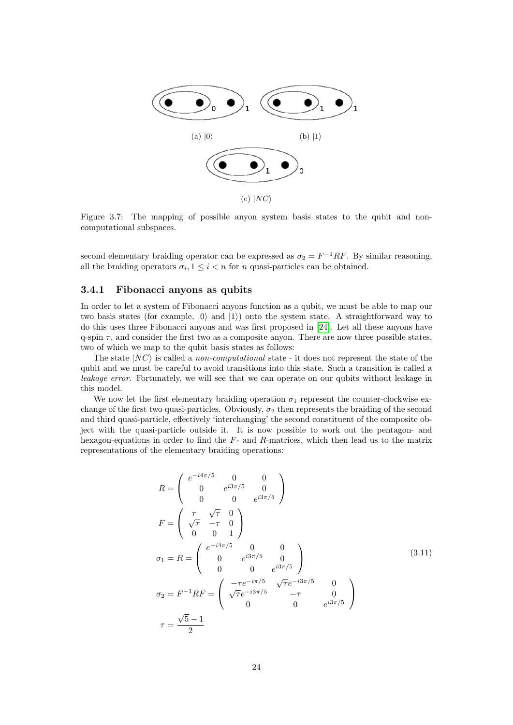

Figure 3.7: The mapping of possible anyon system basis states to the qubit and noncomputational subspaces.

second elementary braiding operator can be expressed as  $\sigma_2 = F^{-1}RF$ . By similar reasoning, all the braiding operators  $\sigma_i, 1 \leq i < n$  for n quasi-particles can be obtained.

#### <span id="page-25-0"></span>3.4.1 Fibonacci anyons as qubits

In order to let a system of Fibonacci anyons function as a qubit, we must be able to map our two basis states (for example,  $|0\rangle$  and  $|1\rangle$ ) onto the system state. A straightforward way to do this uses three Fibonacci anyons and was first proposed in [\[24\]](#page-41-7). Let all these anyons have q-spin  $\tau$ , and consider the first two as a composite anyon. There are now three possible states, two of which we map to the qubit basis states as follows:

The state  $|NC\rangle$  is called a non-computational state - it does not represent the state of the qubit and we must be careful to avoid transitions into this state. Such a transition is called a leakage error. Fortunately, we will see that we can operate on our qubits without leakage in this model.

We now let the first elementary braiding operation  $\sigma_1$  represent the counter-clockwise exchange of the first two quasi-particles. Obviously,  $\sigma_2$  then represents the braiding of the second and third quasi-particle, effectively 'interchanging' the second constituent of the composite object with the quasi-particle outside it. It is now possible to work out the pentagon- and hexagon-equations in order to find the F- and R-matrices, which then lead us to the matrix representations of the elementary braiding operations:

<span id="page-25-1"></span>
$$
R = \begin{pmatrix} e^{-i4\pi/5} & 0 & 0 \\ 0 & e^{i3\pi/5} & 0 \\ 0 & 0 & e^{i3\pi/5} \end{pmatrix}
$$
  
\n
$$
F = \begin{pmatrix} \tau & \sqrt{\tau} & 0 \\ \sqrt{\tau} & -\tau & 0 \\ 0 & 0 & 1 \end{pmatrix}
$$
  
\n
$$
\sigma_1 = R = \begin{pmatrix} e^{-i4\pi/5} & 0 & 0 \\ 0 & e^{i3\pi/5} & 0 \\ 0 & 0 & e^{i3\pi/5} \end{pmatrix}
$$
  
\n
$$
\sigma_2 = F^{-1}RF = \begin{pmatrix} -\tau e^{-i\pi/5} & \sqrt{\tau}e^{-i3\pi/5} & 0 \\ \sqrt{\tau}e^{-i3\pi/5} & -\tau & 0 \\ 0 & 0 & e^{i3\pi/5} \end{pmatrix}
$$
  
\n
$$
\tau = \frac{\sqrt{5} - 1}{2}
$$
 (3.11)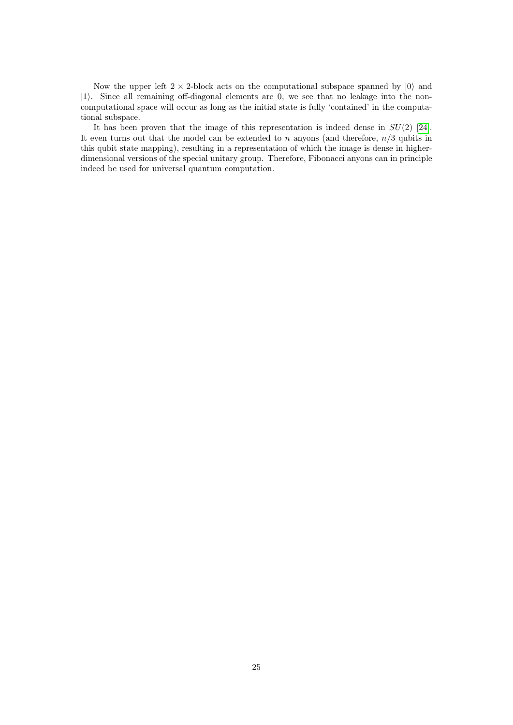Now the upper left  $2 \times 2$ -block acts on the computational subspace spanned by  $|0\rangle$  and  $|1\rangle$ . Since all remaining off-diagonal elements are 0, we see that no leakage into the noncomputational space will occur as long as the initial state is fully 'contained' in the computational subspace.

It has been proven that the image of this representation is indeed dense in  $SU(2)$  [\[24\]](#page-41-7). It even turns out that the model can be extended to n anyons (and therefore,  $n/3$  qubits in this qubit state mapping), resulting in a representation of which the image is dense in higherdimensional versions of the special unitary group. Therefore, Fibonacci anyons can in principle indeed be used for universal quantum computation.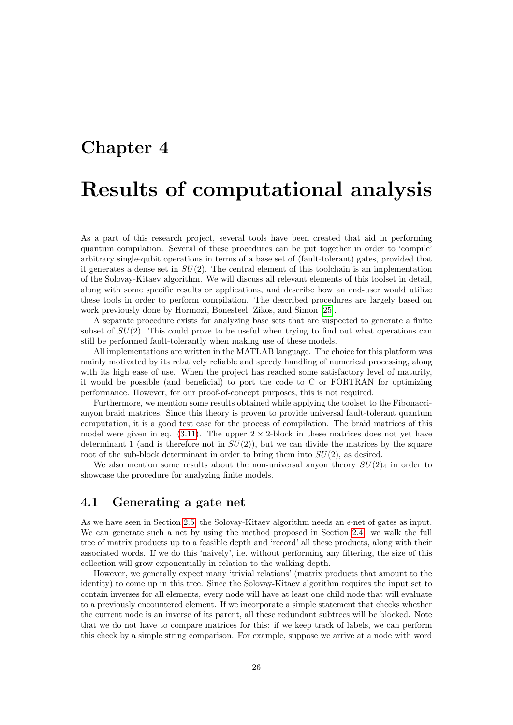# <span id="page-27-0"></span>Chapter 4

# Results of computational analysis

As a part of this research project, several tools have been created that aid in performing quantum compilation. Several of these procedures can be put together in order to 'compile' arbitrary single-qubit operations in terms of a base set of (fault-tolerant) gates, provided that it generates a dense set in  $SU(2)$ . The central element of this toolchain is an implementation of the Solovay-Kitaev algorithm. We will discuss all relevant elements of this toolset in detail, along with some specific results or applications, and describe how an end-user would utilize these tools in order to perform compilation. The described procedures are largely based on work previously done by Hormozi, Bonesteel, Zikos, and Simon [\[25\]](#page-41-8).

A separate procedure exists for analyzing base sets that are suspected to generate a finite subset of  $SU(2)$ . This could prove to be useful when trying to find out what operations can still be performed fault-tolerantly when making use of these models.

All implementations are written in the MATLAB language. The choice for this platform was mainly motivated by its relatively reliable and speedy handling of numerical processing, along with its high ease of use. When the project has reached some satisfactory level of maturity, it would be possible (and beneficial) to port the code to C or FORTRAN for optimizing performance. However, for our proof-of-concept purposes, this is not required.

Furthermore, we mention some results obtained while applying the toolset to the Fibonaccianyon braid matrices. Since this theory is proven to provide universal fault-tolerant quantum computation, it is a good test case for the process of compilation. The braid matrices of this model were given in eq.  $(3.11)$ . The upper  $2 \times 2$ -block in these matrices does not yet have determinant 1 (and is therefore not in  $SU(2)$ ), but we can divide the matrices by the square root of the sub-block determinant in order to bring them into  $SU(2)$ , as desired.

We also mention some results about the non-universal anyon theory  $SU(2)_4$  in order to showcase the procedure for analyzing finite models.

#### <span id="page-27-1"></span>4.1 Generating a gate net

As we have seen in Section [2.5,](#page-14-0) the Solovay-Kitaev algorithm needs an  $\epsilon$ -net of gates as input. We can generate such a net by using the method proposed in Section [2.4:](#page-13-0) we walk the full tree of matrix products up to a feasible depth and 'record' all these products, along with their associated words. If we do this 'naively', i.e. without performing any filtering, the size of this collection will grow exponentially in relation to the walking depth.

However, we generally expect many 'trivial relations' (matrix products that amount to the identity) to come up in this tree. Since the Solovay-Kitaev algorithm requires the input set to contain inverses for all elements, every node will have at least one child node that will evaluate to a previously encountered element. If we incorporate a simple statement that checks whether the current node is an inverse of its parent, all these redundant subtrees will be blocked. Note that we do not have to compare matrices for this: if we keep track of labels, we can perform this check by a simple string comparison. For example, suppose we arrive at a node with word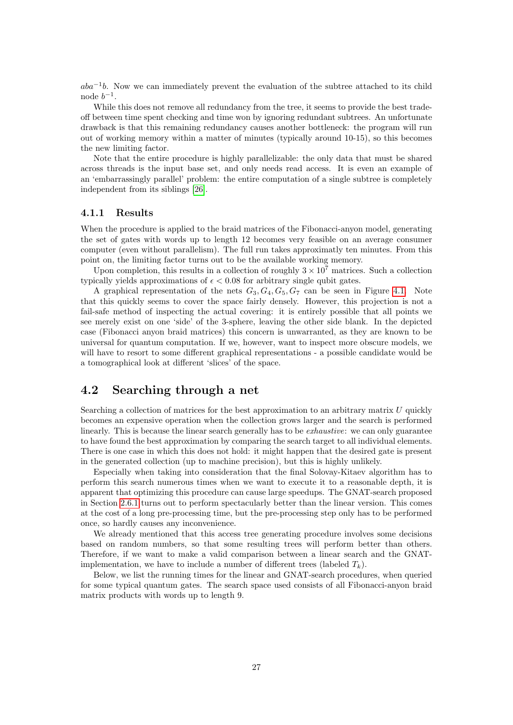aba<sup>-1</sup>b. Now we can immediately prevent the evaluation of the subtree attached to its child node  $b^{-1}$ .

While this does not remove all redundancy from the tree, it seems to provide the best tradeoff between time spent checking and time won by ignoring redundant subtrees. An unfortunate drawback is that this remaining redundancy causes another bottleneck: the program will run out of working memory within a matter of minutes (typically around 10-15), so this becomes the new limiting factor.

Note that the entire procedure is highly parallelizable: the only data that must be shared across threads is the input base set, and only needs read access. It is even an example of an 'embarrassingly parallel' problem: the entire computation of a single subtree is completely independent from its siblings [\[26\]](#page-41-9).

#### <span id="page-28-0"></span>4.1.1 Results

When the procedure is applied to the braid matrices of the Fibonacci-anyon model, generating the set of gates with words up to length 12 becomes very feasible on an average consumer computer (even without parallelism). The full run takes approximatly ten minutes. From this point on, the limiting factor turns out to be the available working memory.

Upon completion, this results in a collection of roughly  $3 \times 10^7$  matrices. Such a collection typically yields approximations of  $\epsilon$  < 0.08 for arbitrary single qubit gates.

A graphical representation of the nets  $G_3, G_4, G_5, G_7$  can be seen in Figure [4.1.](#page-29-0) Note that this quickly seems to cover the space fairly densely. However, this projection is not a fail-safe method of inspecting the actual covering: it is entirely possible that all points we see merely exist on one 'side' of the 3-sphere, leaving the other side blank. In the depicted case (Fibonacci anyon braid matrices) this concern is unwarranted, as they are known to be universal for quantum computation. If we, however, want to inspect more obscure models, we will have to resort to some different graphical representations - a possible candidate would be a tomographical look at different 'slices' of the space.

# <span id="page-28-1"></span>4.2 Searching through a net

Searching a collection of matrices for the best approximation to an arbitrary matrix  $U$  quickly becomes an expensive operation when the collection grows larger and the search is performed linearly. This is because the linear search generally has to be *exhaustive*: we can only guarantee to have found the best approximation by comparing the search target to all individual elements. There is one case in which this does not hold: it might happen that the desired gate is present in the generated collection (up to machine precision), but this is highly unlikely.

Especially when taking into consideration that the final Solovay-Kitaev algorithm has to perform this search numerous times when we want to execute it to a reasonable depth, it is apparent that optimizing this procedure can cause large speedups. The GNAT-search proposed in Section [2.6.1](#page-16-1) turns out to perform spectacularly better than the linear version. This comes at the cost of a long pre-processing time, but the pre-processing step only has to be performed once, so hardly causes any inconvenience.

We already mentioned that this access tree generating procedure involves some decisions based on random numbers, so that some resulting trees will perform better than others. Therefore, if we want to make a valid comparison between a linear search and the GNATimplementation, we have to include a number of different trees (labeled  $T_k$ ).

Below, we list the running times for the linear and GNAT-search procedures, when queried for some typical quantum gates. The search space used consists of all Fibonacci-anyon braid matrix products with words up to length 9.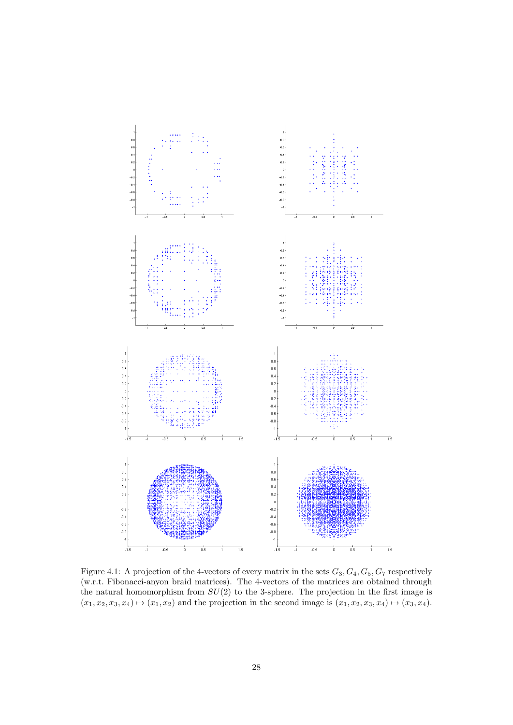<span id="page-29-0"></span>

Figure 4.1: A projection of the 4-vectors of every matrix in the sets  $G_3, G_4, G_5, G_7$  respectively (w.r.t. Fibonacci-anyon braid matrices). The 4-vectors of the matrices are obtained through the natural homomorphism from  $SU(2)$  to the 3-sphere. The projection in the first image is  $(x_1, x_2, x_3, x_4) \mapsto (x_1, x_2)$  and the projection in the second image is  $(x_1, x_2, x_3, x_4) \mapsto (x_3, x_4)$ .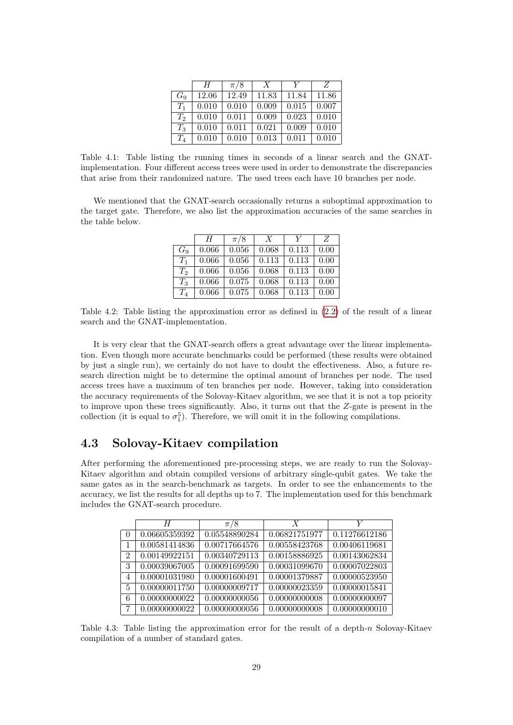|         | H     | $\pi/8$ | X     |       | Z     |
|---------|-------|---------|-------|-------|-------|
| $G_{9}$ | 12.06 | 12.49   | 11.83 | 11.84 | 11.86 |
| $T_1$   | 0.010 | 0.010   | 0.009 | 0.015 | 0.007 |
| $T_2$   | 0.010 | 0.011   | 0.009 | 0.023 | 0.010 |
| $T_3$   | 0.010 | 0.011   | 0.021 | 0.009 | 0.010 |
| $T_{4}$ | 0.010 | 0.010   | 0.013 | 0.011 | 0.010 |

Table 4.1: Table listing the running times in seconds of a linear search and the GNATimplementation. Four different access trees were used in order to demonstrate the discrepancies that arise from their randomized nature. The used trees each have 10 branches per node.

We mentioned that the GNAT-search occasionally returns a suboptimal approximation to the target gate. Therefore, we also list the approximation accuracies of the same searches in the table below.

|       | H     | $\pi/8$ | X     |       | Ζ    |
|-------|-------|---------|-------|-------|------|
| $G_9$ | 0.066 | 0.056   | 0.068 | 0.113 | 0.00 |
| $T_1$ | 0.066 | 0.056   | 0.113 | 0.113 | 0.00 |
| $T_2$ | 0.066 | 0.056   | 0.068 | 0.113 | 0.00 |
| $T_3$ | 0.066 | 0.075   | 0.068 | 0.113 | 0.00 |
| $T_4$ | 0.066 | 0.075   | 0.068 | 0.113 | 0.00 |

Table 4.2: Table listing the approximation error as defined in [\(2.2\)](#page-12-3) of the result of a linear search and the GNAT-implementation.

It is very clear that the GNAT-search offers a great advantage over the linear implementation. Even though more accurate benchmarks could be performed (these results were obtained by just a single run), we certainly do not have to doubt the effectiveness. Also, a future research direction might be to determine the optimal amount of branches per node. The used access trees have a maximum of ten branches per node. However, taking into consideration the accuracy requirements of the Solovay-Kitaev algorithm, we see that it is not a top priority to improve upon these trees significantly. Also, it turns out that the Z-gate is present in the collection (it is equal to  $\sigma_1^5$ ). Therefore, we will omit it in the following compilations.

# <span id="page-30-0"></span>4.3 Solovay-Kitaev compilation

After performing the aforementioned pre-processing steps, we are ready to run the Solovay-Kitaev algorithm and obtain compiled versions of arbitrary single-qubit gates. We take the same gates as in the search-benchmark as targets. In order to see the enhancements to the accuracy, we list the results for all depths up to 7. The implementation used for this benchmark includes the GNAT-search procedure.

|                  | H             | $\pi/8$       | X             | V             |
|------------------|---------------|---------------|---------------|---------------|
| $\left( \right)$ | 0.06605359392 | 0.05548890284 | 0.06821751977 | 0.11276612186 |
|                  | 0.00581414836 | 0.00717664576 | 0.00558423768 | 0.00406119681 |
| 2                | 0.00149922151 | 0.00340729113 | 0.00158886925 | 0.00143062834 |
| 3                | 0.00039067005 | 0.00091699590 | 0.00031099670 | 0.00007022803 |
| 4                | 0.00001031980 | 0.00001600491 | 0.00001379887 | 0.00000523950 |
| 5                | 0.00000011750 | 0.00000009717 | 0.00000023359 | 0.00000015841 |
| 6                | 0.00000000022 | 0.00000000056 | 0.00000000008 | 0.00000000097 |
|                  | 0.00000000022 | 0.00000000056 | 0.00000000008 | 0.00000000010 |

Table 4.3: Table listing the approximation error for the result of a depth-n Solovay-Kitaev compilation of a number of standard gates.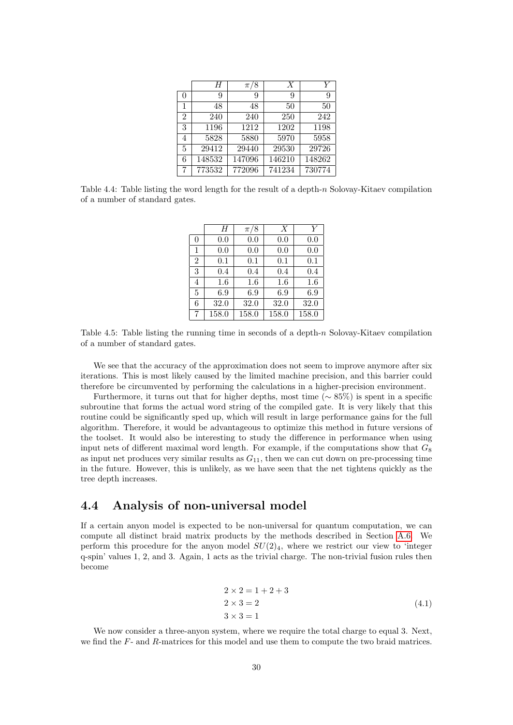|                | Η      | $\pi$  | Х      | V      |
|----------------|--------|--------|--------|--------|
| 0              | 9      | 9      | 9      | 9      |
| 1              | 48     | 48     | 50     | 50     |
| $\overline{2}$ | 240    | 240    | 250    | 242    |
| 3              | 1196   | 1212   | 1202   | 1198   |
| 4              | 5828   | 5880   | 5970   | 5958   |
| 5              | 29412  | 29440  | 29530  | 29726  |
| 6              | 148532 | 147096 | 146210 | 148262 |
| 7              | 773532 | 772096 | 741234 | 730774 |

Table 4.4: Table listing the word length for the result of a depth-n Solovay-Kitaev compilation of a number of standard gates.

|                | H       | $\pi/8$ | X       | V       |
|----------------|---------|---------|---------|---------|
| 0              | 0.0     | 0.0     | 0.0     | 0.0     |
| 1              | 0.0     | 0.0     | 0.0     | 0.0     |
| $\overline{2}$ | 0.1     | 0.1     | 0.1     | 0.1     |
| 3              | $0.4\,$ | 0.4     | 0.4     | $0.4\,$ |
| 4              | $1.6\,$ | 1.6     | $1.6\,$ | 1.6     |
| 5              | 6.9     | 6.9     | 6.9     | 6.9     |
| 6              | 32.0    | 32.0    | 32.0    | 32.0    |
| 7              | 158.0   | 158.0   | 158.0   | 158.0   |

Table 4.5: Table listing the running time in seconds of a depth- $n$  Solovay-Kitaev compilation of a number of standard gates.

We see that the accuracy of the approximation does not seem to improve anymore after six iterations. This is most likely caused by the limited machine precision, and this barrier could therefore be circumvented by performing the calculations in a higher-precision environment.

Furthermore, it turns out that for higher depths, most time ( $\sim 85\%$ ) is spent in a specific subroutine that forms the actual word string of the compiled gate. It is very likely that this routine could be significantly sped up, which will result in large performance gains for the full algorithm. Therefore, it would be advantageous to optimize this method in future versions of the toolset. It would also be interesting to study the difference in performance when using input nets of different maximal word length. For example, if the computations show that  $G_8$ as input net produces very similar results as  $G_{11}$ , then we can cut down on pre-processing time in the future. However, this is unlikely, as we have seen that the net tightens quickly as the tree depth increases.

## <span id="page-31-0"></span>4.4 Analysis of non-universal model

If a certain anyon model is expected to be non-universal for quantum computation, we can compute all distinct braid matrix products by the methods described in Section [A.6.](#page-38-1) We perform this procedure for the anyon model  $SU(2)_4$ , where we restrict our view to 'integer q-spin' values 1, 2, and 3. Again, 1 acts as the trivial charge. The non-trivial fusion rules then become

$$
2 \times 2 = 1 + 2 + 3 \n2 \times 3 = 2 \n3 \times 3 = 1
$$
\n(4.1)

We now consider a three-anyon system, where we require the total charge to equal 3. Next, we find the F- and R-matrices for this model and use them to compute the two braid matrices.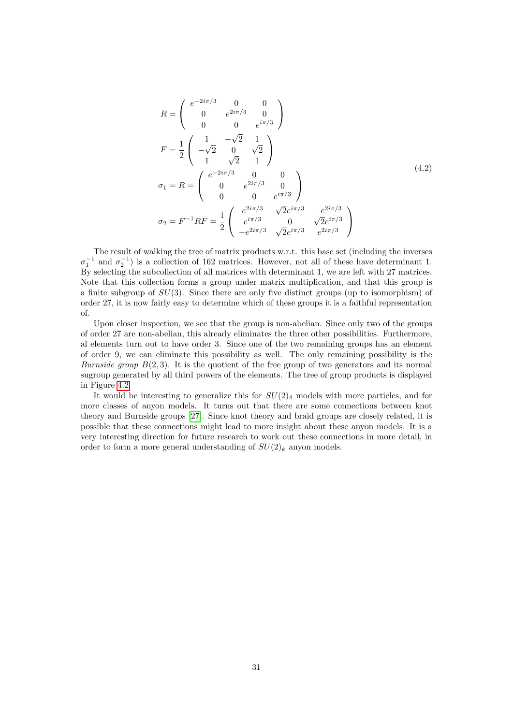$$
R = \begin{pmatrix} e^{-2i\pi/3} & 0 & 0 \\ 0 & e^{2i\pi/3} & 0 \\ 0 & 0 & e^{i\pi/3} \end{pmatrix}
$$
  
\n
$$
F = \frac{1}{2} \begin{pmatrix} 1 & -\sqrt{2} & 1 \\ -\sqrt{2} & 0 & \sqrt{2} \\ 1 & \sqrt{2} & 1 \end{pmatrix}
$$
  
\n
$$
\sigma_1 = R = \begin{pmatrix} e^{-2i\pi/3} & 0 & 0 \\ 0 & e^{2i\pi/3} & 0 \\ 0 & 0 & e^{i\pi/3} \end{pmatrix}
$$
  
\n
$$
\sigma_2 = F^{-1}RF = \frac{1}{2} \begin{pmatrix} e^{2i\pi/3} & \sqrt{2}e^{i\pi/3} & -e^{2i\pi/3} \\ e^{i\pi/3} & 0 & \sqrt{2}e^{i\pi/3} \\ -e^{2i\pi/3} & \sqrt{2}e^{i\pi/3} & e^{2i\pi/3} \end{pmatrix}
$$
\n(4.2)

The result of walking the tree of matrix products w.r.t. this base set (including the inverses  $\sigma_1^{-1}$  and  $\sigma_2^{-1}$ ) is a collection of 162 matrices. However, not all of these have determinant 1. By selecting the subcollection of all matrices with determinant 1, we are left with 27 matrices. Note that this collection forms a group under matrix multiplication, and that this group is a finite subgroup of  $SU(3)$ . Since there are only five distinct groups (up to isomorphism) of order 27, it is now fairly easy to determine which of these groups it is a faithful representation of.

Upon closer inspection, we see that the group is non-abelian. Since only two of the groups of order 27 are non-abelian, this already eliminates the three other possibilities. Furthermore, al elements turn out to have order 3. Since one of the two remaining groups has an element of order 9, we can eliminate this possibility as well. The only remaining possibility is the *Burnside group*  $B(2, 3)$ . It is the quotient of the free group of two generators and its normal sugroup generated by all third powers of the elements. The tree of group products is displayed in Figure [4.2.](#page-33-0)

It would be interesting to generalize this for  $SU(2)_4$  models with more particles, and for more classes of anyon models. It turns out that there are some connections between knot theory and Burnside groups [\[27\]](#page-41-10). Since knot theory and braid groups are closely related, it is possible that these connections might lead to more insight about these anyon models. It is a very interesting direction for future research to work out these connections in more detail, in order to form a more general understanding of  $SU(2)_k$  anyon models.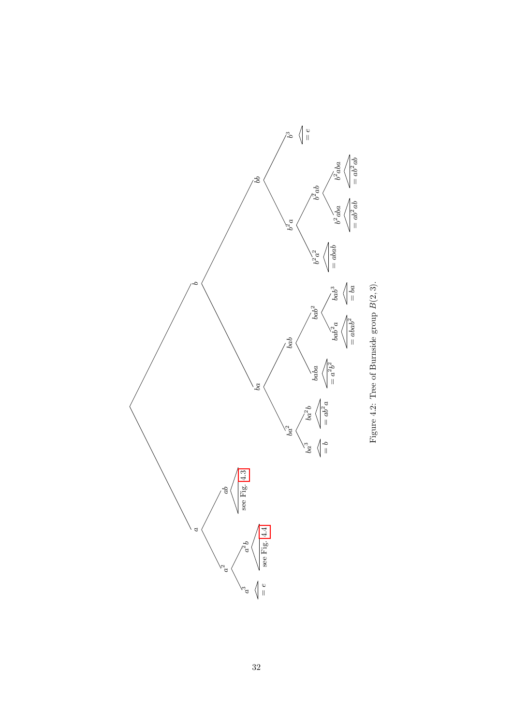<span id="page-33-0"></span>

Figure 4.2: Tree of Burnside group  $B(2,3).$ Figure 4.2: Tree of Burnside group  $B(2,3)$ .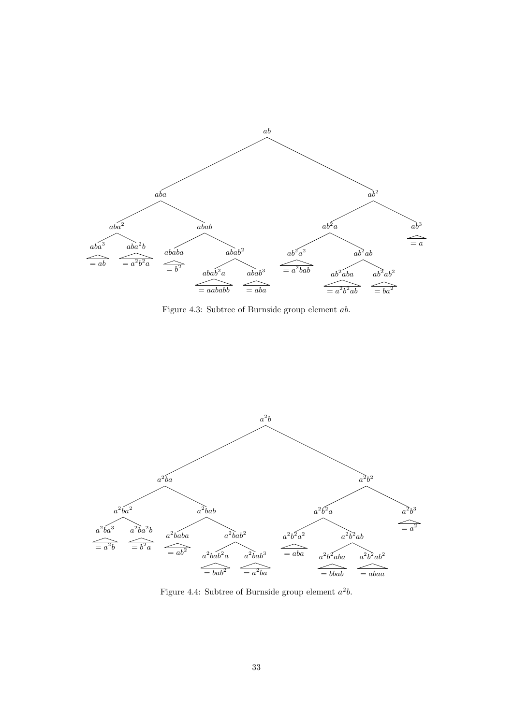<span id="page-34-1"></span>

Figure 4.3: Subtree of Burnside group element ab.

<span id="page-34-0"></span>

Figure 4.4: Subtree of Burnside group element  $a^2b$ .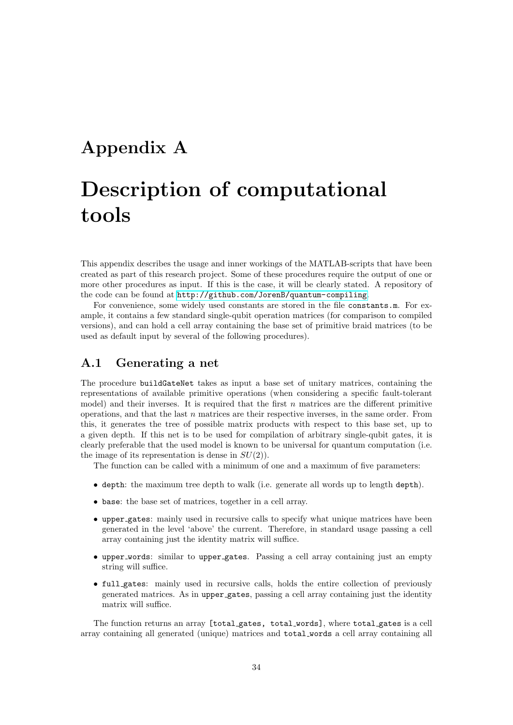# <span id="page-35-0"></span>Appendix A

# Description of computational tools

This appendix describes the usage and inner workings of the MATLAB-scripts that have been created as part of this research project. Some of these procedures require the output of one or more other procedures as input. If this is the case, it will be clearly stated. A repository of the code can be found at <http://github.com/JorenB/quantum-compiling>.

For convenience, some widely used constants are stored in the file constants.m. For example, it contains a few standard single-qubit operation matrices (for comparison to compiled versions), and can hold a cell array containing the base set of primitive braid matrices (to be used as default input by several of the following procedures).

### <span id="page-35-1"></span>A.1 Generating a net

The procedure buildGateNet takes as input a base set of unitary matrices, containing the representations of available primitive operations (when considering a specific fault-tolerant model) and their inverses. It is required that the first  $n$  matrices are the different primitive operations, and that the last  $n$  matrices are their respective inverses, in the same order. From this, it generates the tree of possible matrix products with respect to this base set, up to a given depth. If this net is to be used for compilation of arbitrary single-qubit gates, it is clearly preferable that the used model is known to be universal for quantum computation (i.e. the image of its representation is dense in  $SU(2)$ .

The function can be called with a minimum of one and a maximum of five parameters:

- depth: the maximum tree depth to walk (i.e. generate all words up to length depth).
- base: the base set of matrices, together in a cell array.
- upper gates: mainly used in recursive calls to specify what unique matrices have been generated in the level 'above' the current. Therefore, in standard usage passing a cell array containing just the identity matrix will suffice.
- upper words: similar to upper gates. Passing a cell array containing just an empty string will suffice.
- full gates: mainly used in recursive calls, holds the entire collection of previously generated matrices. As in upper gates, passing a cell array containing just the identity matrix will suffice.

The function returns an array [total gates, total words], where total gates is a cell array containing all generated (unique) matrices and total words a cell array containing all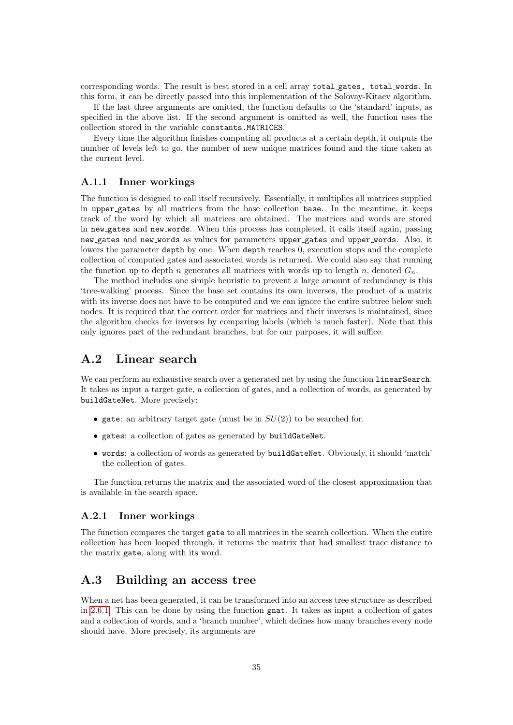corresponding words. The result is best stored in a cell array total gates, total words. In this form, it can be directly passed into this implementation of the Solovay-Kitaev algorithm.

If the last three arguments are omitted, the function defaults to the 'standard' inputs, as specified in the above list. If the second argument is omitted as well, the function uses the collection stored in the variable constants.MATRICES.

Every time the algorithm finishes computing all products at a certain depth, it outputs the number of levels left to go, the number of new unique matrices found and the time taken at the current level.

#### <span id="page-36-0"></span>A.1.1 Inner workings

The function is designed to call itself recursively. Essentially, it multiplies all matrices supplied in upper gates by all matrices from the base collection base. In the meantime, it keeps track of the word by which all matrices are obtained. The matrices and words are stored in new gates and new words. When this process has completed, it calls itself again, passing new gates and new words as values for parameters upper gates and upper words. Also, it lowers the parameter depth by one. When depth reaches 0, execution stops and the complete collection of computed gates and associated words is returned. We could also say that running the function up to depth n generates all matrices with words up to length n, denoted  $G_n$ .

The method includes one simple heuristic to prevent a large amount of redundancy is this 'tree-walking' process. Since the base set contains its own inverses, the product of a matrix with its inverse does not have to be computed and we can ignore the entire subtree below such nodes. It is required that the correct order for matrices and their inverses is maintained, since the algorithm checks for inverses by comparing labels (which is much faster). Note that this only ignores part of the redundant branches, but for our purposes, it will suffice.

### <span id="page-36-1"></span>A.2 Linear search

We can perform an exhaustive search over a generated net by using the function linearSearch. It takes as input a target gate, a collection of gates, and a collection of words, as generated by buildGateNet. More precisely:

- gate: an arbitrary target gate (must be in  $SU(2)$ ) to be searched for.
- gates: a collection of gates as generated by buildGateNet.
- words: a collection of words as generated by buildGateNet. Obviously, it should 'match' the collection of gates.

The function returns the matrix and the associated word of the closest approximation that is available in the search space.

#### <span id="page-36-2"></span>A.2.1 Inner workings

The function compares the target gate to all matrices in the search collection. When the entire collection has been looped through, it returns the matrix that had smallest trace distance to the matrix gate, along with its word.

### <span id="page-36-3"></span>A.3 Building an access tree

When a net has been generated, it can be transformed into an access tree structure as described in [2.6.1.](#page-16-1) This can be done by using the function gnat. It takes as input a collection of gates and a collection of words, and a 'branch number', which defines how many branches every node should have. More precisely, its arguments are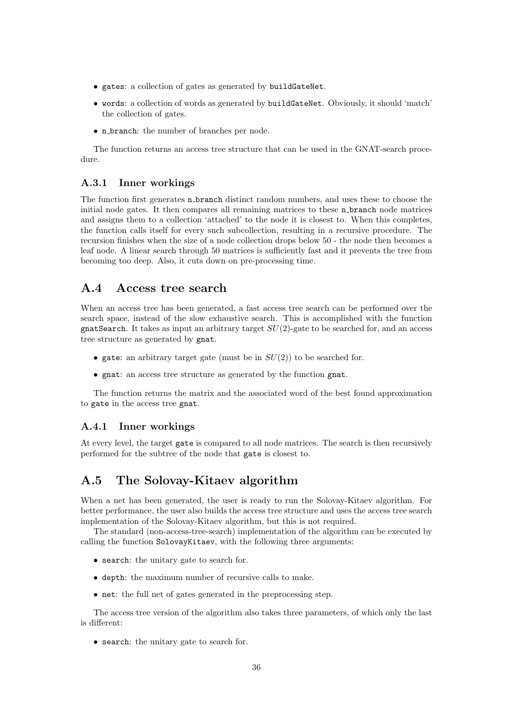- gates: a collection of gates as generated by buildGateNet.
- words: a collection of words as generated by buildGateNet. Obviously, it should 'match' the collection of gates.
- n\_branch: the number of branches per node.

The function returns an access tree structure that can be used in the GNAT-search procedure.

#### <span id="page-37-0"></span>A.3.1 Inner workings

The function first generates n branch distinct random numbers, and uses these to choose the initial node gates. It then compares all remaining matrices to these n branch node matrices and assigns them to a collection 'attached' to the node it is closest to. When this completes, the function calls itself for every such subcollection, resulting in a recursive procedure. The recursion finishes when the size of a node collection drops below 50 - the node then becomes a leaf node. A linear search through 50 matrices is sufficiently fast and it prevents the tree from becoming too deep. Also, it cuts down on pre-processing time.

### <span id="page-37-1"></span>A.4 Access tree search

When an access tree has been generated, a fast access tree search can be performed over the search space, instead of the slow exhaustive search. This is accomplished with the function gnatSearch. It takes as input an arbitrary target  $SU(2)$ -gate to be searched for, and an access tree structure as generated by gnat.

- gate: an arbitrary target gate (must be in  $SU(2)$ ) to be searched for.
- gnat: an access tree structure as generated by the function gnat.

The function returns the matrix and the associated word of the best found approximation to gate in the access tree gnat.

#### <span id="page-37-2"></span>A.4.1 Inner workings

At every level, the target gate is compared to all node matrices. The search is then recursively performed for the subtree of the node that gate is closest to.

# <span id="page-37-3"></span>A.5 The Solovay-Kitaev algorithm

When a net has been generated, the user is ready to run the Solovay-Kitaev algorithm. For better performance, the user also builds the access tree structure and uses the access tree search implementation of the Solovay-Kitaev algorithm, but this is not required.

The standard (non-access-tree-search) implementation of the algorithm can be executed by calling the function SolovayKitaev, with the following three arguments:

- search: the unitary gate to search for.
- depth: the maximum number of recursive calls to make.
- net: the full net of gates generated in the preprocessing step.

The access tree version of the algorithm also takes three parameters, of which only the last is different:

• search: the unitary gate to search for.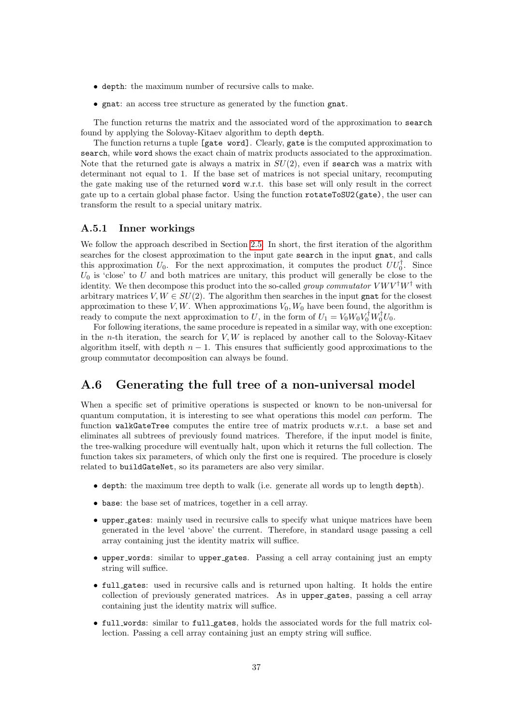- depth: the maximum number of recursive calls to make.
- gnat: an access tree structure as generated by the function gnat.

The function returns the matrix and the associated word of the approximation to search found by applying the Solovay-Kitaev algorithm to depth depth.

The function returns a tuple [gate word]. Clearly, gate is the computed approximation to search, while word shows the exact chain of matrix products associated to the approximation. Note that the returned gate is always a matrix in  $SU(2)$ , even if search was a matrix with determinant not equal to 1. If the base set of matrices is not special unitary, recomputing the gate making use of the returned word w.r.t. this base set will only result in the correct gate up to a certain global phase factor. Using the function rotateToSU2(gate), the user can transform the result to a special unitary matrix.

#### <span id="page-38-0"></span>A.5.1 Inner workings

We follow the approach described in Section [2.5.](#page-14-0) In short, the first iteration of the algorithm searches for the closest approximation to the input gate search in the input gnat, and calls this approximation  $U_0$ . For the next approximation, it computes the product  $UU_0^{\dagger}$ . Since  $U_0$  is 'close' to U and both matrices are unitary, this product will generally be close to the identity. We then decompose this product into the so-called *group commutator VWV*<sup>†</sup>W<sup>†</sup> with arbitrary matrices  $V, W \in SU(2)$ . The algorithm then searches in the input gnat for the closest approximation to these V, W. When approximations  $V_0$ ,  $W_0$  have been found, the algorithm is ready to compute the next approximation to U, in the form of  $U_1 = V_0 W_0 V_0^{\dagger} W_0^{\dagger} U_0$ .

For following iterations, the same procedure is repeated in a similar way, with one exception: in the n-th iteration, the search for  $V, W$  is replaced by another call to the Solovay-Kitaev algorithm itself, with depth  $n-1$ . This ensures that sufficiently good approximations to the group commutator decomposition can always be found.

## <span id="page-38-1"></span>A.6 Generating the full tree of a non-universal model

When a specific set of primitive operations is suspected or known to be non-universal for quantum computation, it is interesting to see what operations this model can perform. The function walkGateTree computes the entire tree of matrix products w.r.t. a base set and eliminates all subtrees of previously found matrices. Therefore, if the input model is finite, the tree-walking procedure will eventually halt, upon which it returns the full collection. The function takes six parameters, of which only the first one is required. The procedure is closely related to buildGateNet, so its parameters are also very similar.

- depth: the maximum tree depth to walk (i.e. generate all words up to length depth).
- base: the base set of matrices, together in a cell array.
- upper gates: mainly used in recursive calls to specify what unique matrices have been generated in the level 'above' the current. Therefore, in standard usage passing a cell array containing just the identity matrix will suffice.
- upper words: similar to upper gates. Passing a cell array containing just an empty string will suffice.
- full gates: used in recursive calls and is returned upon halting. It holds the entire collection of previously generated matrices. As in upper gates, passing a cell array containing just the identity matrix will suffice.
- full words: similar to full gates, holds the associated words for the full matrix collection. Passing a cell array containing just an empty string will suffice.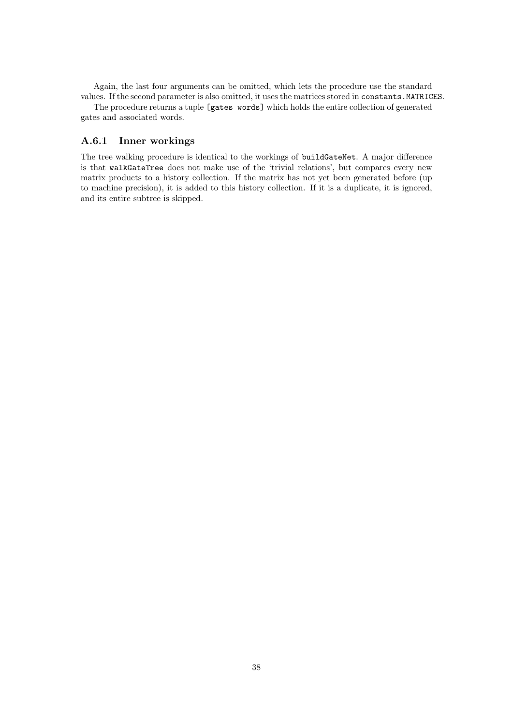Again, the last four arguments can be omitted, which lets the procedure use the standard values. If the second parameter is also omitted, it uses the matrices stored in constants.MATRICES.

The procedure returns a tuple [gates words] which holds the entire collection of generated gates and associated words.

#### <span id="page-39-0"></span>A.6.1 Inner workings

The tree walking procedure is identical to the workings of buildGateNet. A major difference is that walkGateTree does not make use of the 'trivial relations', but compares every new matrix products to a history collection. If the matrix has not yet been generated before (up to machine precision), it is added to this history collection. If it is a duplicate, it is ignored, and its entire subtree is skipped.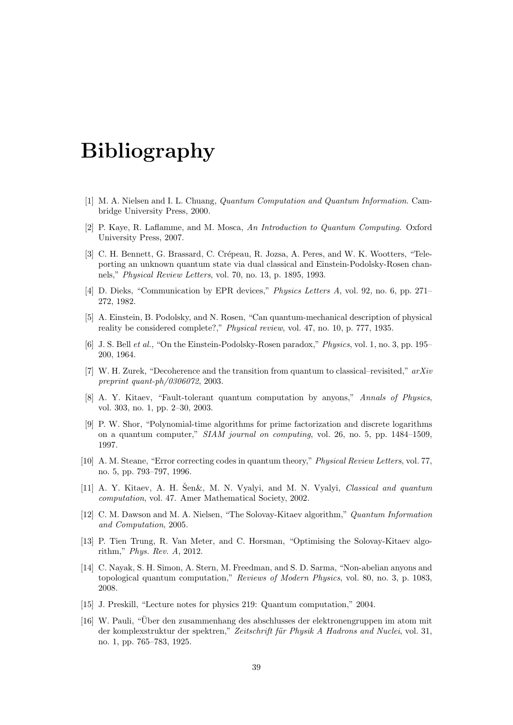# Bibliography

- <span id="page-40-0"></span>[1] M. A. Nielsen and I. L. Chuang, Quantum Computation and Quantum Information. Cambridge University Press, 2000.
- <span id="page-40-1"></span>[2] P. Kaye, R. Laflamme, and M. Mosca, An Introduction to Quantum Computing. Oxford University Press, 2007.
- <span id="page-40-2"></span>[3] C. H. Bennett, G. Brassard, C. Crépeau, R. Jozsa, A. Peres, and W. K. Wootters, "Teleporting an unknown quantum state via dual classical and Einstein-Podolsky-Rosen channels," Physical Review Letters, vol. 70, no. 13, p. 1895, 1993.
- <span id="page-40-3"></span>[4] D. Dieks, "Communication by EPR devices," Physics Letters A, vol. 92, no. 6, pp. 271– 272, 1982.
- <span id="page-40-4"></span>[5] A. Einstein, B. Podolsky, and N. Rosen, "Can quantum-mechanical description of physical reality be considered complete?," Physical review, vol. 47, no. 10, p. 777, 1935.
- <span id="page-40-5"></span>[6] J. S. Bell et al., "On the Einstein-Podolsky-Rosen paradox," Physics, vol. 1, no. 3, pp. 195– 200, 1964.
- <span id="page-40-6"></span>[7] W. H. Zurek, "Decoherence and the transition from quantum to classical–revisited,"  $arXiv$ preprint quant-ph/0306072, 2003.
- <span id="page-40-7"></span>[8] A. Y. Kitaev, "Fault-tolerant quantum computation by anyons," Annals of Physics, vol. 303, no. 1, pp. 2–30, 2003.
- <span id="page-40-8"></span>[9] P. W. Shor, "Polynomial-time algorithms for prime factorization and discrete logarithms on a quantum computer," SIAM journal on computing, vol. 26, no. 5, pp. 1484–1509, 1997.
- <span id="page-40-9"></span>[10] A. M. Steane, "Error correcting codes in quantum theory," Physical Review Letters, vol. 77, no. 5, pp. 793–797, 1996.
- <span id="page-40-10"></span>[11] A. Y. Kitaev, A. H. Sen &, M. N. Vyalyi, and M. N. Vyalyi, *Classical and quantum* computation, vol. 47. Amer Mathematical Society, 2002.
- <span id="page-40-11"></span>[12] C. M. Dawson and M. A. Nielsen, "The Solovay-Kitaev algorithm," Quantum Information and Computation, 2005.
- <span id="page-40-12"></span>[13] P. Tien Trung, R. Van Meter, and C. Horsman, "Optimising the Solovay-Kitaev algorithm," Phys. Rev. A, 2012.
- <span id="page-40-13"></span>[14] C. Nayak, S. H. Simon, A. Stern, M. Freedman, and S. D. Sarma, "Non-abelian anyons and topological quantum computation," Reviews of Modern Physics, vol. 80, no. 3, p. 1083, 2008.
- <span id="page-40-14"></span>[15] J. Preskill, "Lecture notes for physics 219: Quantum computation," 2004.
- <span id="page-40-15"></span>[16] W. Pauli, "Uber den zusammenhang des abschlusses der elektronengruppen im atom mit ¨ der komplexstruktur der spektren," Zeitschrift für Physik A Hadrons and Nuclei, vol. 31, no. 1, pp. 765–783, 1925.